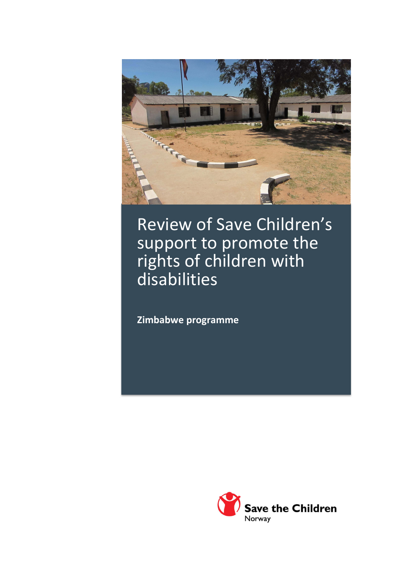

## Review of Save Children's support to promote the rights of children with disabilities

**Zimbabwe programme** 

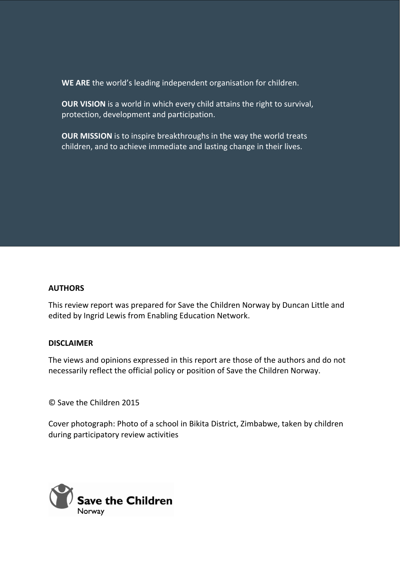**WE ARE** the world's leading independent organisation for children.

**OUR VISION** is a world in which every child attains the right to survival, protection, development and participation.

**OUR MISSION** is to inspire breakthroughs in the way the world treats children, and to achieve immediate and lasting change in their lives.

#### **AUTHORS**

This review report was prepared for Save the Children Norway by Duncan Little and edited by Ingrid Lewis from Enabling Education Network.

#### **DISCLAIMER**

The views and opinions expressed in this report are those of the authors and do not necessarily reflect the official policy or position of Save the Children Norway.

© Save the Children 2015

Cover photograph: Photo of a school in Bikita District, Zimbabwe, taken by children during participatory review activities

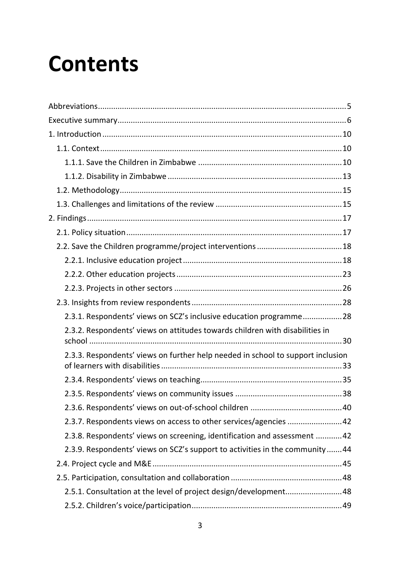## **Contents**

| 2.3.1. Respondents' views on SCZ's inclusive education programme28              |
|---------------------------------------------------------------------------------|
| 2.3.2. Respondents' views on attitudes towards children with disabilities in    |
| 2.3.3. Respondents' views on further help needed in school to support inclusion |
|                                                                                 |
|                                                                                 |
|                                                                                 |
| 2.3.7. Respondents views on access to other services/agencies  42               |
| 2.3.8. Respondents' views on screening, identification and assessment  42       |
| 2.3.9. Respondents' views on SCZ's support to activities in the community44     |
|                                                                                 |
|                                                                                 |
| 2.5.1. Consultation at the level of project design/development 48               |
|                                                                                 |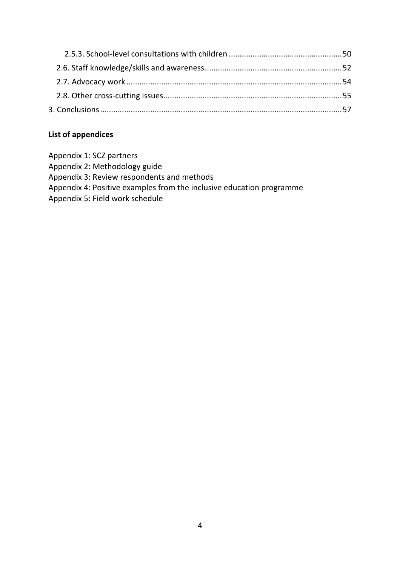#### **List of appendices**

Appendix 1: SCZ partners Appendix 2: Methodology guide Appendix 3: Review respondents and methods Appendix 4: Positive examples from the inclusive education programme Appendix 5: Field work schedule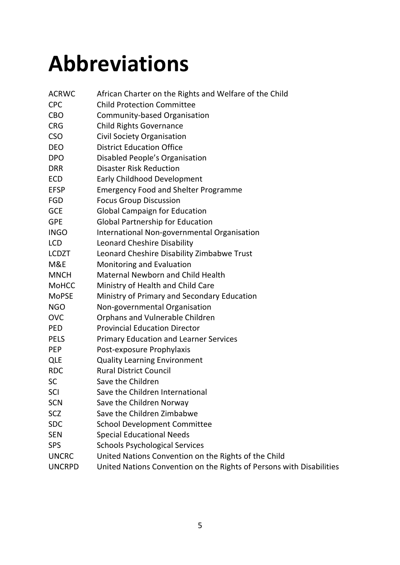## **Abbreviations**

| <b>ACRWC</b>  | African Charter on the Rights and Welfare of the Child               |
|---------------|----------------------------------------------------------------------|
| <b>CPC</b>    | <b>Child Protection Committee</b>                                    |
| <b>CBO</b>    | Community-based Organisation                                         |
| <b>CRG</b>    | <b>Child Rights Governance</b>                                       |
| <b>CSO</b>    | Civil Society Organisation                                           |
| <b>DEO</b>    | <b>District Education Office</b>                                     |
| <b>DPO</b>    | Disabled People's Organisation                                       |
| <b>DRR</b>    | <b>Disaster Risk Reduction</b>                                       |
| <b>ECD</b>    | <b>Early Childhood Development</b>                                   |
| <b>EFSP</b>   | <b>Emergency Food and Shelter Programme</b>                          |
| <b>FGD</b>    | <b>Focus Group Discussion</b>                                        |
| <b>GCE</b>    | <b>Global Campaign for Education</b>                                 |
| <b>GPE</b>    | <b>Global Partnership for Education</b>                              |
| <b>INGO</b>   | International Non-governmental Organisation                          |
| <b>LCD</b>    | Leonard Cheshire Disability                                          |
| <b>LCDZT</b>  | Leonard Cheshire Disability Zimbabwe Trust                           |
| M&E           | Monitoring and Evaluation                                            |
| <b>MNCH</b>   | <b>Maternal Newborn and Child Health</b>                             |
| <b>MoHCC</b>  | Ministry of Health and Child Care                                    |
| <b>MoPSE</b>  | Ministry of Primary and Secondary Education                          |
| <b>NGO</b>    | Non-governmental Organisation                                        |
| <b>OVC</b>    | Orphans and Vulnerable Children                                      |
| <b>PED</b>    | <b>Provincial Education Director</b>                                 |
| <b>PELS</b>   | <b>Primary Education and Learner Services</b>                        |
| <b>PEP</b>    | Post-exposure Prophylaxis                                            |
| <b>QLE</b>    | <b>Quality Learning Environment</b>                                  |
| <b>RDC</b>    | <b>Rural District Council</b>                                        |
| <b>SC</b>     | Save the Children                                                    |
| SCI           | Save the Children International                                      |
| <b>SCN</b>    | Save the Children Norway                                             |
| SCZ           | Save the Children Zimbabwe                                           |
| <b>SDC</b>    | <b>School Development Committee</b>                                  |
| <b>SEN</b>    | <b>Special Educational Needs</b>                                     |
| <b>SPS</b>    | <b>Schools Psychological Services</b>                                |
| <b>UNCRC</b>  | United Nations Convention on the Rights of the Child                 |
| <b>UNCRPD</b> | United Nations Convention on the Rights of Persons with Disabilities |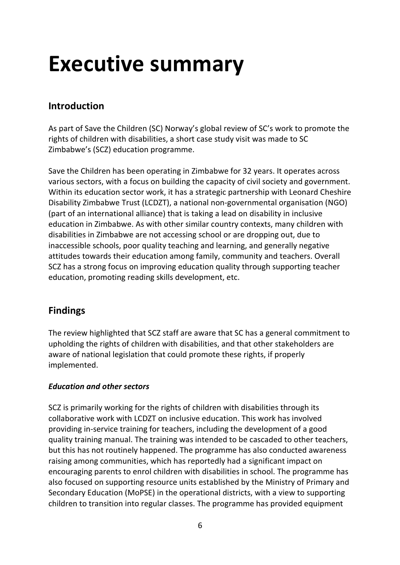## **Executive summary**

### **Introduction**

As part of Save the Children (SC) Norway's global review of SC's work to promote the rights of children with disabilities, a short case study visit was made to SC Zimbabwe's (SCZ) education programme.

Save the Children has been operating in Zimbabwe for 32 years. It operates across various sectors, with a focus on building the capacity of civil society and government. Within its education sector work, it has a strategic partnership with Leonard Cheshire Disability Zimbabwe Trust (LCDZT), a national non-governmental organisation (NGO) (part of an international alliance) that is taking a lead on disability in inclusive education in Zimbabwe. As with other similar country contexts, many children with disabilities in Zimbabwe are not accessing school or are dropping out, due to inaccessible schools, poor quality teaching and learning, and generally negative attitudes towards their education among family, community and teachers. Overall SCZ has a strong focus on improving education quality through supporting teacher education, promoting reading skills development, etc.

### **Findings**

The review highlighted that SCZ staff are aware that SC has a general commitment to upholding the rights of children with disabilities, and that other stakeholders are aware of national legislation that could promote these rights, if properly implemented.

#### *Education and other sectors*

SCZ is primarily working for the rights of children with disabilities through its collaborative work with LCDZT on inclusive education. This work has involved providing in-service training for teachers, including the development of a good quality training manual. The training was intended to be cascaded to other teachers, but this has not routinely happened. The programme has also conducted awareness raising among communities, which has reportedly had a significant impact on encouraging parents to enrol children with disabilities in school. The programme has also focused on supporting resource units established by the Ministry of Primary and Secondary Education (MoPSE) in the operational districts, with a view to supporting children to transition into regular classes. The programme has provided equipment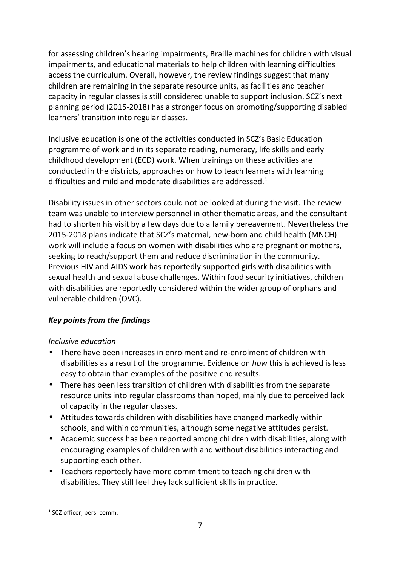for assessing children's hearing impairments, Braille machines for children with visual impairments, and educational materials to help children with learning difficulties access the curriculum. Overall, however, the review findings suggest that many children are remaining in the separate resource units, as facilities and teacher capacity in regular classes is still considered unable to support inclusion. SCZ's next planning period (2015-2018) has a stronger focus on promoting/supporting disabled learners' transition into regular classes.

Inclusive education is one of the activities conducted in SCZ's Basic Education programme of work and in its separate reading, numeracy, life skills and early childhood development (ECD) work. When trainings on these activities are conducted in the districts, approaches on how to teach learners with learning difficulties and mild and moderate disabilities are addressed.<sup>1</sup>

Disability issues in other sectors could not be looked at during the visit. The review team was unable to interview personnel in other thematic areas, and the consultant had to shorten his visit by a few days due to a family bereavement. Nevertheless the 2015-2018 plans indicate that SCZ's maternal, new-born and child health (MNCH) work will include a focus on women with disabilities who are pregnant or mothers, seeking to reach/support them and reduce discrimination in the community. Previous HIV and AIDS work has reportedly supported girls with disabilities with sexual health and sexual abuse challenges. Within food security initiatives, children with disabilities are reportedly considered within the wider group of orphans and vulnerable children (OVC).

#### *Key points from the findings*

#### *Inclusive education*

- There have been increases in enrolment and re-enrolment of children with disabilities as a result of the programme. Evidence on *how* this is achieved is less easy to obtain than examples of the positive end results.
- There has been less transition of children with disabilities from the separate resource units into regular classrooms than hoped, mainly due to perceived lack of capacity in the regular classes.
- Attitudes towards children with disabilities have changed markedly within schools, and within communities, although some negative attitudes persist.
- Academic success has been reported among children with disabilities, along with encouraging examples of children with and without disabilities interacting and supporting each other.
- Teachers reportedly have more commitment to teaching children with disabilities. They still feel they lack sufficient skills in practice.

<sup>&</sup>lt;sup>1</sup> SCZ officer, pers. comm.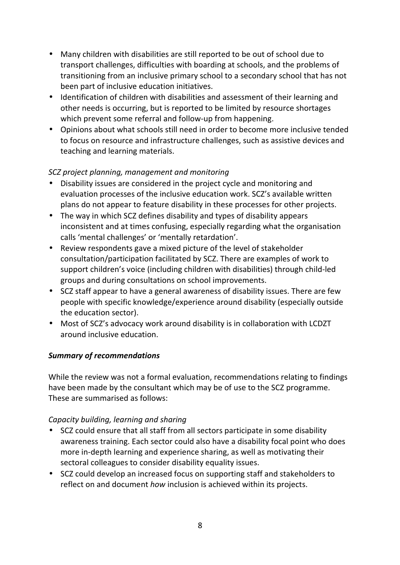- Many children with disabilities are still reported to be out of school due to transport challenges, difficulties with boarding at schools, and the problems of transitioning from an inclusive primary school to a secondary school that has not been part of inclusive education initiatives.
- Identification of children with disabilities and assessment of their learning and other needs is occurring, but is reported to be limited by resource shortages which prevent some referral and follow-up from happening.
- Opinions about what schools still need in order to become more inclusive tended to focus on resource and infrastructure challenges, such as assistive devices and teaching and learning materials.

#### *SCZ project planning, management and monitoring*

- Disability issues are considered in the project cycle and monitoring and evaluation processes of the inclusive education work. SCZ's available written plans do not appear to feature disability in these processes for other projects.
- The way in which SCZ defines disability and types of disability appears inconsistent and at times confusing, especially regarding what the organisation calls 'mental challenges' or 'mentally retardation'.
- Review respondents gave a mixed picture of the level of stakeholder consultation/participation facilitated by SCZ. There are examples of work to support children's voice (including children with disabilities) through child-led groups and during consultations on school improvements.
- SCZ staff appear to have a general awareness of disability issues. There are few people with specific knowledge/experience around disability (especially outside the education sector).
- Most of SCZ's advocacy work around disability is in collaboration with LCDZT around inclusive education.

#### *Summary of recommendations*

While the review was not a formal evaluation, recommendations relating to findings have been made by the consultant which may be of use to the SCZ programme. These are summarised as follows:

#### *Capacity building, learning and sharing*

- SCZ could ensure that all staff from all sectors participate in some disability awareness training. Each sector could also have a disability focal point who does more in-depth learning and experience sharing, as well as motivating their sectoral colleagues to consider disability equality issues.
- SCZ could develop an increased focus on supporting staff and stakeholders to reflect on and document *how* inclusion is achieved within its projects.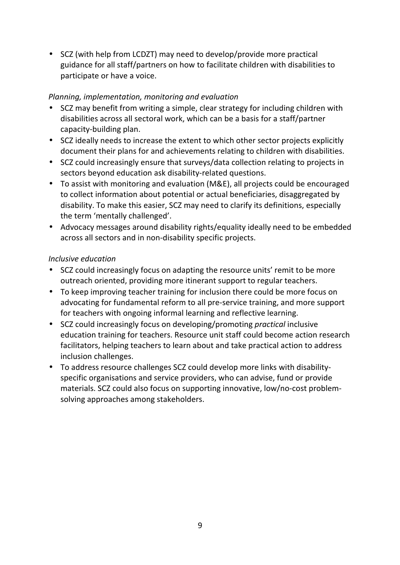• SCZ (with help from LCDZT) may need to develop/provide more practical guidance for all staff/partners on how to facilitate children with disabilities to participate or have a voice.

#### *Planning, implementation, monitoring and evaluation*

- SCZ may benefit from writing a simple, clear strategy for including children with disabilities across all sectoral work, which can be a basis for a staff/partner capacity-building plan.
- SCZ ideally needs to increase the extent to which other sector projects explicitly document their plans for and achievements relating to children with disabilities.
- SCZ could increasingly ensure that surveys/data collection relating to projects in sectors beyond education ask disability-related questions.
- To assist with monitoring and evaluation (M&E), all projects could be encouraged to collect information about potential or actual beneficiaries, disaggregated by disability. To make this easier, SCZ may need to clarify its definitions, especially the term 'mentally challenged'.
- Advocacy messages around disability rights/equality ideally need to be embedded across all sectors and in non-disability specific projects.

#### *Inclusive education*

- SCZ could increasingly focus on adapting the resource units' remit to be more outreach oriented, providing more itinerant support to regular teachers.
- To keep improving teacher training for inclusion there could be more focus on advocating for fundamental reform to all pre-service training, and more support for teachers with ongoing informal learning and reflective learning.
- SCZ could increasingly focus on developing/promoting *practical* inclusive education training for teachers. Resource unit staff could become action research facilitators, helping teachers to learn about and take practical action to address inclusion challenges.
- To address resource challenges SCZ could develop more links with disabilityspecific organisations and service providers, who can advise, fund or provide materials. SCZ could also focus on supporting innovative, low/no-cost problemsolving approaches among stakeholders.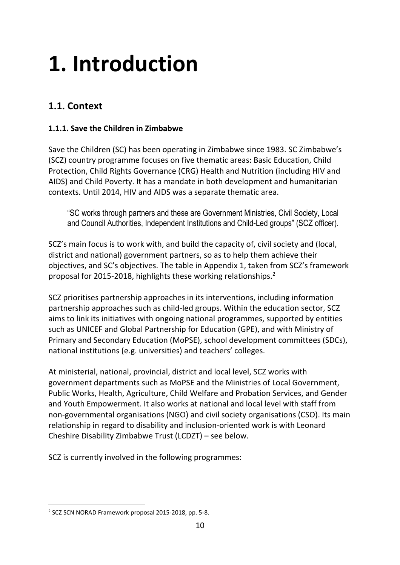## **1. Introduction**

## **1.1. Context**

#### **1.1.1. Save the Children in Zimbabwe**

Save the Children (SC) has been operating in Zimbabwe since 1983. SC Zimbabwe's (SCZ) country programme focuses on five thematic areas: Basic Education, Child Protection, Child Rights Governance (CRG) Health and Nutrition (including HIV and AIDS) and Child Poverty. It has a mandate in both development and humanitarian contexts. Until 2014, HIV and AIDS was a separate thematic area.

"SC works through partners and these are Government Ministries, Civil Society, Local and Council Authorities, Independent Institutions and Child-Led groups" (SCZ officer).

SCZ's main focus is to work with, and build the capacity of, civil society and (local, district and national) government partners, so as to help them achieve their objectives, and SC's objectives. The table in Appendix 1, taken from SCZ's framework proposal for 2015-2018, highlights these working relationships.<sup>2</sup>

SCZ prioritises partnership approaches in its interventions, including information partnership approaches such as child-led groups. Within the education sector, SCZ aims to link its initiatives with ongoing national programmes, supported by entities such as UNICEF and Global Partnership for Education (GPE), and with Ministry of Primary and Secondary Education (MoPSE), school development committees (SDCs), national institutions (e.g. universities) and teachers' colleges.

At ministerial, national, provincial, district and local level, SCZ works with government departments such as MoPSE and the Ministries of Local Government, Public Works, Health, Agriculture, Child Welfare and Probation Services, and Gender and Youth Empowerment. It also works at national and local level with staff from non-governmental organisations (NGO) and civil society organisations (CSO). Its main relationship in regard to disability and inclusion-oriented work is with Leonard Cheshire Disability Zimbabwe Trust (LCDZT) – see below.

SCZ is currently involved in the following programmes:

j <sup>2</sup> SCZ SCN NORAD Framework proposal 2015-2018, pp. 5-8.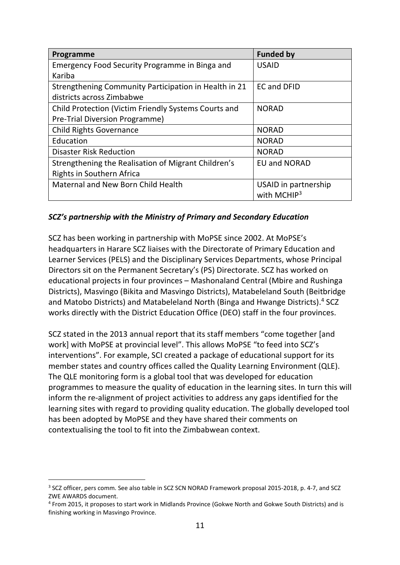| Programme                                             | <b>Funded by</b>                       |
|-------------------------------------------------------|----------------------------------------|
| Emergency Food Security Programme in Binga and        | <b>USAID</b>                           |
| Kariba                                                |                                        |
| Strengthening Community Participation in Health in 21 | <b>EC and DFID</b>                     |
| districts across Zimbabwe                             |                                        |
| Child Protection (Victim Friendly Systems Courts and  | <b>NORAD</b>                           |
| Pre-Trial Diversion Programme)                        |                                        |
| <b>Child Rights Governance</b>                        | <b>NORAD</b>                           |
| Education                                             | <b>NORAD</b>                           |
| <b>Disaster Risk Reduction</b>                        | <b>NORAD</b>                           |
| Strengthening the Realisation of Migrant Children's   | <b>EU and NORAD</b>                    |
| Rights in Southern Africa                             |                                        |
| Maternal and New Born Child Health                    | USAID in partnership<br>with MCHI $P3$ |

#### *SCZ's partnership with the Ministry of Primary and Secondary Education*

SCZ has been working in partnership with MoPSE since 2002. At MoPSE's headquarters in Harare SCZ liaises with the Directorate of Primary Education and Learner Services (PELS) and the Disciplinary Services Departments, whose Principal Directors sit on the Permanent Secretary's (PS) Directorate. SCZ has worked on educational projects in four provinces – Mashonaland Central (Mbire and Rushinga Districts), Masvingo (Bikita and Masvingo Districts), Matabeleland South (Beitbridge and Matobo Districts) and Matabeleland North (Binga and Hwange Districts).<sup>4</sup> SCZ works directly with the District Education Office (DEO) staff in the four provinces.

SCZ stated in the 2013 annual report that its staff members "come together [and work] with MoPSE at provincial level". This allows MoPSE "to feed into SCZ's interventions". For example, SCI created a package of educational support for its member states and country offices called the Quality Learning Environment (QLE). The QLE monitoring form is a global tool that was developed for education programmes to measure the quality of education in the learning sites. In turn this will inform the re-alignment of project activities to address any gaps identified for the learning sites with regard to providing quality education. The globally developed tool has been adopted by MoPSE and they have shared their comments on contextualising the tool to fit into the Zimbabwean context.

<sup>&</sup>lt;sup>3</sup> SCZ officer, pers comm. See also table in SCZ SCN NORAD Framework proposal 2015-2018, p. 4-7, and SCZ ZWE AWARDS document.

<sup>4</sup> From 2015, it proposes to start work in Midlands Province (Gokwe North and Gokwe South Districts) and is finishing working in Masvingo Province.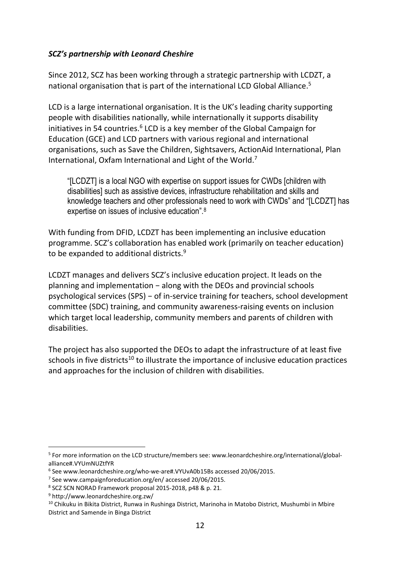#### *SCZ's partnership with Leonard Cheshire*

Since 2012, SCZ has been working through a strategic partnership with LCDZT, a national organisation that is part of the international LCD Global Alliance.<sup>5</sup>

LCD is a large international organisation. It is the UK's leading charity supporting people with disabilities nationally, while internationally it supports disability initiatives in 54 countries.<sup>6</sup> LCD is a key member of the Global Campaign for Education (GCE) and LCD partners with various regional and international organisations, such as Save the Children, Sightsavers, ActionAid International, Plan International, Oxfam International and Light of the World.<sup>7</sup>

"[LCDZT] is a local NGO with expertise on support issues for CWDs [children with disabilities] such as assistive devices, infrastructure rehabilitation and skills and knowledge teachers and other professionals need to work with CWDs" and "[LCDZT] has expertise on issues of inclusive education".<sup>8</sup>

With funding from DFID, LCDZT has been implementing an inclusive education programme. SCZ's collaboration has enabled work (primarily on teacher education) to be expanded to additional districts.<sup>9</sup>

LCDZT manages and delivers SCZ's inclusive education project. It leads on the planning and implementation − along with the DEOs and provincial schools psychological services (SPS) − of in-service training for teachers, school development committee (SDC) training, and community awareness-raising events on inclusion which target local leadership, community members and parents of children with disabilities.

The project has also supported the DEOs to adapt the infrastructure of at least five schools in five districts<sup>10</sup> to illustrate the importance of inclusive education practices and approaches for the inclusion of children with disabilities.

<sup>&</sup>lt;sup>5</sup> For more information on the LCD structure/members see: www.leonardcheshire.org/international/globalalliance#.VYUmNUZtfYR

<sup>&</sup>lt;sup>6</sup> See www.leonardcheshire.org/who-we-are#.VYUvA0b15Bs accessed 20/06/2015.

<sup>7</sup> See www.campaignforeducation.org/en/ accessed 20/06/2015.

<sup>8</sup> SCZ SCN NORAD Framework proposal 2015-2018, p48 & p. 21.

<sup>9</sup> http://www.leonardcheshire.org.zw/

<sup>&</sup>lt;sup>10</sup> Chikuku in Bikita District, Runwa in Rushinga District, Marinoha in Matobo District, Mushumbi in Mbire District and Samende in Binga District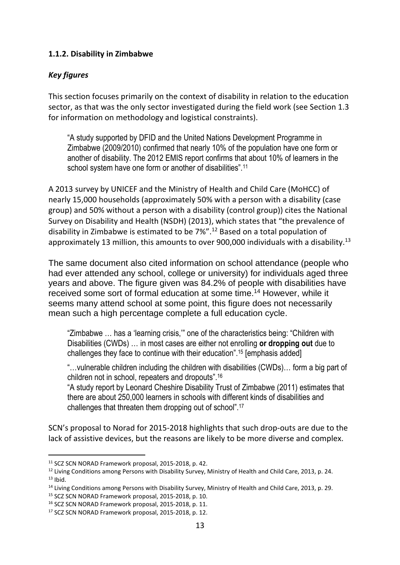#### **1.1.2. Disability in Zimbabwe**

#### *Key figures*

This section focuses primarily on the context of disability in relation to the education sector, as that was the only sector investigated during the field work (see Section 1.3 for information on methodology and logistical constraints).

"A study supported by DFID and the United Nations Development Programme in Zimbabwe (2009/2010) confirmed that nearly 10% of the population have one form or another of disability. The 2012 EMIS report confirms that about 10% of learners in the school system have one form or another of disabilities".<sup>11</sup>

A 2013 survey by UNICEF and the Ministry of Health and Child Care (MoHCC) of nearly 15,000 households (approximately 50% with a person with a disability (case group) and 50% without a person with a disability (control group)) cites the National Survey on Disability and Health (NSDH) (2013), which states that "the prevalence of disability in Zimbabwe is estimated to be 7%".<sup>12</sup> Based on a total population of approximately 13 million, this amounts to over 900,000 individuals with a disability.<sup>13</sup>

The same document also cited information on school attendance (people who had ever attended any school, college or university) for individuals aged three years and above. The figure given was 84.2% of people with disabilities have received some sort of formal education at some time. <sup>14</sup> However, while it seems many attend school at some point, this figure does not necessarily mean such a high percentage complete a full education cycle.

"Zimbabwe … has a 'learning crisis,'" one of the characteristics being: "Children with Disabilities (CWDs) … in most cases are either not enrolling **or dropping out** due to challenges they face to continue with their education".<sup>15</sup> [emphasis added]

"…vulnerable children including the children with disabilities (CWDs)… form a big part of children not in school, repeaters and dropouts".<sup>16</sup>

"A study report by Leonard Cheshire Disability Trust of Zimbabwe (2011) estimates that there are about 250,000 learners in schools with different kinds of disabilities and challenges that threaten them dropping out of school".<sup>17</sup>

SCN's proposal to Norad for 2015-2018 highlights that such drop-outs are due to the lack of assistive devices, but the reasons are likely to be more diverse and complex.

 $\overline{a}$ 

<sup>11</sup> SCZ SCN NORAD Framework proposal, 2015-2018, p. 42.

<sup>&</sup>lt;sup>12</sup> Living Conditions among Persons with Disability Survey, Ministry of Health and Child Care, 2013, p. 24.  $13$  Ibid.

<sup>&</sup>lt;sup>14</sup> Living Conditions among Persons with Disability Survey, Ministry of Health and Child Care, 2013, p. 29.

<sup>15</sup> SCZ SCN NORAD Framework proposal, 2015-2018, p. 10.

<sup>16</sup> SCZ SCN NORAD Framework proposal, 2015-2018, p. 11.

<sup>&</sup>lt;sup>17</sup> SCZ SCN NORAD Framework proposal, 2015-2018, p. 12.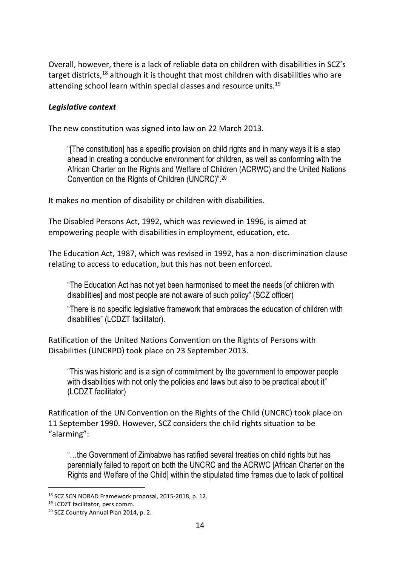Overall, however, there is a lack of reliable data on children with disabilities in SCZ's target districts, $^{18}$  although it is thought that most children with disabilities who are attending school learn within special classes and resource units.<sup>19</sup>

#### *Legislative context*

The new constitution was signed into law on 22 March 2013.

"[The constitution] has a specific provision on child rights and in many ways it is a step ahead in creating a conducive environment for children, as well as conforming with the African Charter on the Rights and Welfare of Children (ACRWC) and the United Nations Convention on the Rights of Children (UNCRC)".<sup>20</sup>

It makes no mention of disability or children with disabilities.

The Disabled Persons Act, 1992, which was reviewed in 1996, is aimed at empowering people with disabilities in employment, education, etc.

The Education Act, 1987, which was revised in 1992, has a non-discrimination clause relating to access to education, but this has not been enforced.

"The Education Act has not yet been harmonised to meet the needs [of children with disabilities] and most people are not aware of such policy" (SCZ officer)

"There is no specific legislative framework that embraces the education of children with disabilities" (LCDZT facilitator).

Ratification of the United Nations Convention on the Rights of Persons with Disabilities (UNCRPD) took place on 23 September 2013.

"This was historic and is a sign of commitment by the government to empower people with disabilities with not only the policies and laws but also to be practical about it" (LCDZT facilitator)

Ratification of the UN Convention on the Rights of the Child (UNCRC) took place on 11 September 1990. However, SCZ considers the child rights situation to be "alarming":

"…the Government of Zimbabwe has ratified several treaties on child rights but has perennially failed to report on both the UNCRC and the ACRWC [African Charter on the Rights and Welfare of the Child] within the stipulated time frames due to lack of political

<sup>18</sup> SCZ SCN NORAD Framework proposal, 2015-2018, p. 12.

<sup>19</sup> LCDZT facilitator, pers comm.

<sup>20</sup> SCZ Country Annual Plan 2014, p. 2.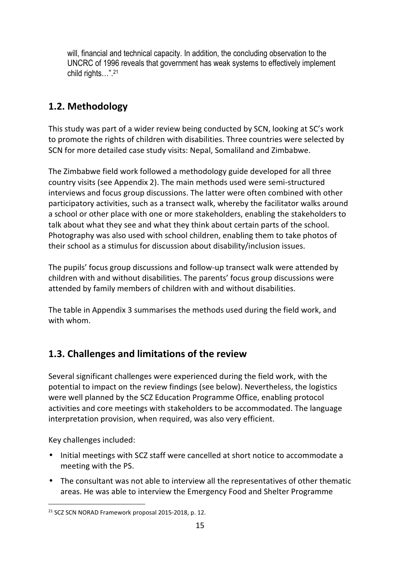will, financial and technical capacity. In addition, the concluding observation to the UNCRC of 1996 reveals that government has weak systems to effectively implement child rights…".<sup>21</sup>

## **1.2. Methodology**

This study was part of a wider review being conducted by SCN, looking at SC's work to promote the rights of children with disabilities. Three countries were selected by SCN for more detailed case study visits: Nepal, Somaliland and Zimbabwe.

The Zimbabwe field work followed a methodology guide developed for all three country visits (see Appendix 2). The main methods used were semi-structured interviews and focus group discussions. The latter were often combined with other participatory activities, such as a transect walk, whereby the facilitator walks around a school or other place with one or more stakeholders, enabling the stakeholders to talk about what they see and what they think about certain parts of the school. Photography was also used with school children, enabling them to take photos of their school as a stimulus for discussion about disability/inclusion issues.

The pupils' focus group discussions and follow-up transect walk were attended by children with and without disabilities. The parents' focus group discussions were attended by family members of children with and without disabilities.

The table in Appendix 3 summarises the methods used during the field work, and with whom.

## **1.3. Challenges and limitations of the review**

Several significant challenges were experienced during the field work, with the potential to impact on the review findings (see below). Nevertheless, the logistics were well planned by the SCZ Education Programme Office, enabling protocol activities and core meetings with stakeholders to be accommodated. The language interpretation provision, when required, was also very efficient.

Key challenges included:

- Initial meetings with SCZ staff were cancelled at short notice to accommodate a meeting with the PS.
- The consultant was not able to interview all the representatives of other thematic areas. He was able to interview the Emergency Food and Shelter Programme

j <sup>21</sup> SCZ SCN NORAD Framework proposal 2015-2018, p. 12.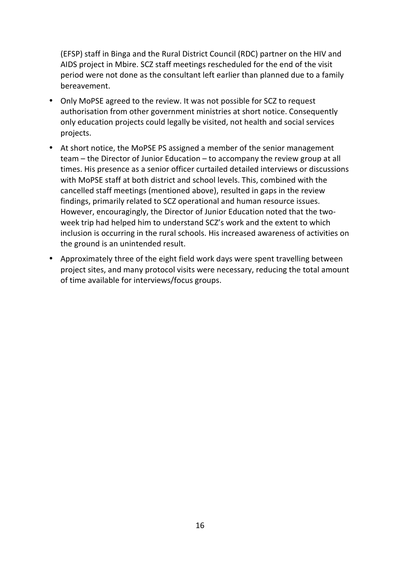(EFSP) staff in Binga and the Rural District Council (RDC) partner on the HIV and AIDS project in Mbire. SCZ staff meetings rescheduled for the end of the visit period were not done as the consultant left earlier than planned due to a family bereavement.

- Only MoPSE agreed to the review. It was not possible for SCZ to request authorisation from other government ministries at short notice. Consequently only education projects could legally be visited, not health and social services projects.
- At short notice, the MoPSE PS assigned a member of the senior management team – the Director of Junior Education – to accompany the review group at all times. His presence as a senior officer curtailed detailed interviews or discussions with MoPSE staff at both district and school levels. This, combined with the cancelled staff meetings (mentioned above), resulted in gaps in the review findings, primarily related to SCZ operational and human resource issues. However, encouragingly, the Director of Junior Education noted that the twoweek trip had helped him to understand SCZ's work and the extent to which inclusion is occurring in the rural schools. His increased awareness of activities on the ground is an unintended result.
- Approximately three of the eight field work days were spent travelling between project sites, and many protocol visits were necessary, reducing the total amount of time available for interviews/focus groups.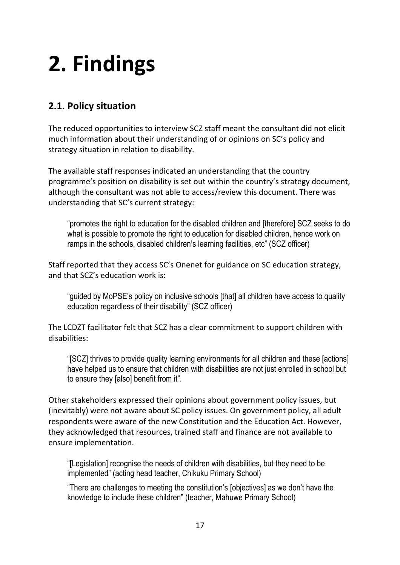# **2. Findings**

## **2.1. Policy situation**

The reduced opportunities to interview SCZ staff meant the consultant did not elicit much information about their understanding of or opinions on SC's policy and strategy situation in relation to disability.

The available staff responses indicated an understanding that the country programme's position on disability is set out within the country's strategy document, although the consultant was not able to access/review this document. There was understanding that SC's current strategy:

"promotes the right to education for the disabled children and [therefore] SCZ seeks to do what is possible to promote the right to education for disabled children, hence work on ramps in the schools, disabled children's learning facilities, etc" (SCZ officer)

Staff reported that they access SC's Onenet for guidance on SC education strategy, and that SCZ's education work is:

"guided by MoPSE's policy on inclusive schools [that] all children have access to quality education regardless of their disability" (SCZ officer)

The LCDZT facilitator felt that SCZ has a clear commitment to support children with disabilities:

"[SCZ] thrives to provide quality learning environments for all children and these [actions] have helped us to ensure that children with disabilities are not just enrolled in school but to ensure they [also] benefit from it".

Other stakeholders expressed their opinions about government policy issues, but (inevitably) were not aware about SC policy issues. On government policy, all adult respondents were aware of the new Constitution and the Education Act. However, they acknowledged that resources, trained staff and finance are not available to ensure implementation.

"[Legislation] recognise the needs of children with disabilities, but they need to be implemented" (acting head teacher, Chikuku Primary School)

"There are challenges to meeting the constitution's [objectives] as we don't have the knowledge to include these children" (teacher, Mahuwe Primary School)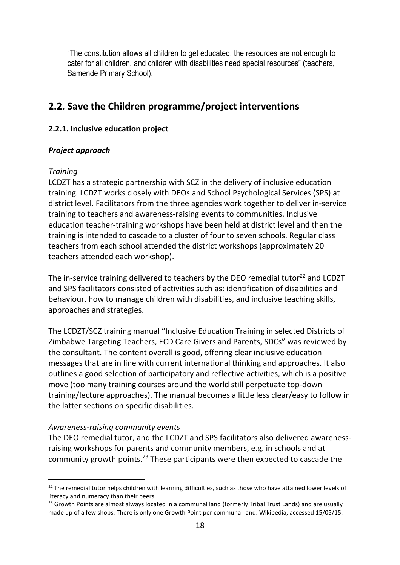"The constitution allows all children to get educated, the resources are not enough to cater for all children, and children with disabilities need special resources" (teachers, Samende Primary School).

### **2.2. Save the Children programme/project interventions**

#### **2.2.1. Inclusive education project**

#### *Project approach*

#### *Training*

LCDZT has a strategic partnership with SCZ in the delivery of inclusive education training. LCDZT works closely with DEOs and School Psychological Services (SPS) at district level. Facilitators from the three agencies work together to deliver in-service training to teachers and awareness-raising events to communities. Inclusive education teacher-training workshops have been held at district level and then the training is intended to cascade to a cluster of four to seven schools. Regular class teachers from each school attended the district workshops (approximately 20 teachers attended each workshop).

The in-service training delivered to teachers by the DEO remedial tutor<sup>22</sup> and LCDZT and SPS facilitators consisted of activities such as: identification of disabilities and behaviour, how to manage children with disabilities, and inclusive teaching skills, approaches and strategies.

The LCDZT/SCZ training manual "Inclusive Education Training in selected Districts of Zimbabwe Targeting Teachers, ECD Care Givers and Parents, SDCs" was reviewed by the consultant. The content overall is good, offering clear inclusive education messages that are in line with current international thinking and approaches. It also outlines a good selection of participatory and reflective activities, which is a positive move (too many training courses around the world still perpetuate top-down training/lecture approaches). The manual becomes a little less clear/easy to follow in the latter sections on specific disabilities.

#### *Awareness-raising community events*

The DEO remedial tutor, and the LCDZT and SPS facilitators also delivered awarenessraising workshops for parents and community members, e.g. in schools and at community growth points.<sup>23</sup> These participants were then expected to cascade the

<sup>&</sup>lt;sup>22</sup> The remedial tutor helps children with learning difficulties, such as those who have attained lower levels of literacy and numeracy than their peers.

<sup>&</sup>lt;sup>23</sup> Growth Points are almost always located in a communal land (formerly Tribal Trust Lands) and are usually made up of a few shops. There is only one Growth Point per communal land. Wikipedia, accessed 15/05/15.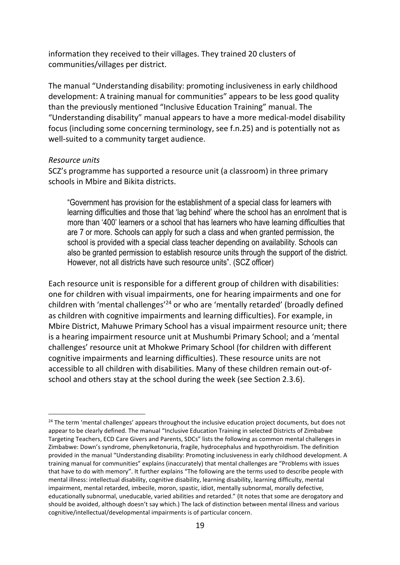information they received to their villages. They trained 20 clusters of communities/villages per district.

The manual "Understanding disability: promoting inclusiveness in early childhood development: A training manual for communities" appears to be less good quality than the previously mentioned "Inclusive Education Training" manual. The "Understanding disability" manual appears to have a more medical-model disability focus (including some concerning terminology, see f.n.25) and is potentially not as well-suited to a community target audience.

#### *Resource units*

 $\overline{a}$ 

SCZ's programme has supported a resource unit (a classroom) in three primary schools in Mbire and Bikita districts.

"Government has provision for the establishment of a special class for learners with learning difficulties and those that 'lag behind' where the school has an enrolment that is more than '400' learners or a school that has learners who have learning difficulties that are 7 or more. Schools can apply for such a class and when granted permission, the school is provided with a special class teacher depending on availability. Schools can also be granted permission to establish resource units through the support of the district. However, not all districts have such resource units". (SCZ officer)

Each resource unit is responsible for a different group of children with disabilities: one for children with visual impairments, one for hearing impairments and one for children with 'mental challenges'<sup>24</sup> or who are 'mentally retarded' (broadly defined as children with cognitive impairments and learning difficulties). For example, in Mbire District, Mahuwe Primary School has a visual impairment resource unit; there is a hearing impairment resource unit at Mushumbi Primary School; and a 'mental challenges' resource unit at Mhokwe Primary School (for children with different cognitive impairments and learning difficulties). These resource units are not accessible to all children with disabilities. Many of these children remain out-ofschool and others stay at the school during the week (see Section 2.3.6).

<sup>&</sup>lt;sup>24</sup> The term 'mental challenges' appears throughout the inclusive education project documents, but does not appear to be clearly defined. The manual "Inclusive Education Training in selected Districts of Zimbabwe Targeting Teachers, ECD Care Givers and Parents, SDCs" lists the following as common mental challenges in Zimbabwe: Down's syndrome, phenylketonuria, fragile, hydrocephalus and hypothyroidism. The definition provided in the manual "Understanding disability: Promoting inclusiveness in early childhood development. A training manual for communities" explains (inaccurately) that mental challenges are "Problems with issues that have to do with memory". It further explains "The following are the terms used to describe people with mental illness: intellectual disability, cognitive disability, learning disability, learning difficulty, mental impairment, mental retarded, imbecile, moron, spastic, idiot, mentally subnormal, morally defective, educationally subnormal, uneducable, varied abilities and retarded." (It notes that some are derogatory and should be avoided, although doesn't say which.) The lack of distinction between mental illness and various cognitive/intellectual/developmental impairments is of particular concern.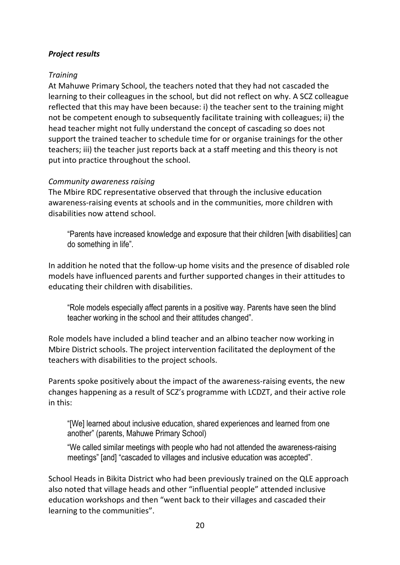#### *Project results*

#### *Training*

At Mahuwe Primary School, the teachers noted that they had not cascaded the learning to their colleagues in the school, but did not reflect on why. A SCZ colleague reflected that this may have been because: i) the teacher sent to the training might not be competent enough to subsequently facilitate training with colleagues; ii) the head teacher might not fully understand the concept of cascading so does not support the trained teacher to schedule time for or organise trainings for the other teachers; iii) the teacher just reports back at a staff meeting and this theory is not put into practice throughout the school.

#### *Community awareness raising*

The Mbire RDC representative observed that through the inclusive education awareness-raising events at schools and in the communities, more children with disabilities now attend school.

"Parents have increased knowledge and exposure that their children [with disabilities] can do something in life".

In addition he noted that the follow-up home visits and the presence of disabled role models have influenced parents and further supported changes in their attitudes to educating their children with disabilities.

"Role models especially affect parents in a positive way. Parents have seen the blind teacher working in the school and their attitudes changed".

Role models have included a blind teacher and an albino teacher now working in Mbire District schools. The project intervention facilitated the deployment of the teachers with disabilities to the project schools.

Parents spoke positively about the impact of the awareness-raising events, the new changes happening as a result of SCZ's programme with LCDZT, and their active role in this:

"[We] learned about inclusive education, shared experiences and learned from one another" (parents, Mahuwe Primary School)

"We called similar meetings with people who had not attended the awareness-raising meetings" [and] "cascaded to villages and inclusive education was accepted".

School Heads in Bikita District who had been previously trained on the QLE approach also noted that village heads and other "influential people" attended inclusive education workshops and then "went back to their villages and cascaded their learning to the communities".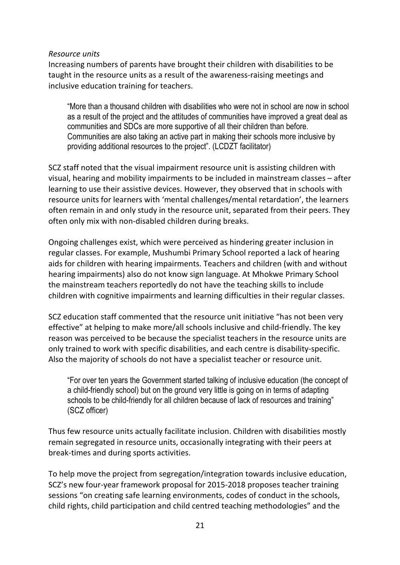#### *Resource units*

Increasing numbers of parents have brought their children with disabilities to be taught in the resource units as a result of the awareness-raising meetings and inclusive education training for teachers.

"More than a thousand children with disabilities who were not in school are now in school as a result of the project and the attitudes of communities have improved a great deal as communities and SDCs are more supportive of all their children than before. Communities are also taking an active part in making their schools more inclusive by providing additional resources to the project". (LCDZT facilitator)

SCZ staff noted that the visual impairment resource unit is assisting children with visual, hearing and mobility impairments to be included in mainstream classes – after learning to use their assistive devices. However, they observed that in schools with resource units for learners with 'mental challenges/mental retardation', the learners often remain in and only study in the resource unit, separated from their peers. They often only mix with non-disabled children during breaks.

Ongoing challenges exist, which were perceived as hindering greater inclusion in regular classes. For example, Mushumbi Primary School reported a lack of hearing aids for children with hearing impairments. Teachers and children (with and without hearing impairments) also do not know sign language. At Mhokwe Primary School the mainstream teachers reportedly do not have the teaching skills to include children with cognitive impairments and learning difficulties in their regular classes.

SCZ education staff commented that the resource unit initiative "has not been very effective" at helping to make more/all schools inclusive and child-friendly. The key reason was perceived to be because the specialist teachers in the resource units are only trained to work with specific disabilities, and each centre is disability-specific. Also the majority of schools do not have a specialist teacher or resource unit.

"For over ten years the Government started talking of inclusive education (the concept of a child-friendly school) but on the ground very little is going on in terms of adapting schools to be child-friendly for all children because of lack of resources and training" (SCZ officer)

Thus few resource units actually facilitate inclusion. Children with disabilities mostly remain segregated in resource units, occasionally integrating with their peers at break-times and during sports activities.

To help move the project from segregation/integration towards inclusive education, SCZ's new four-year framework proposal for 2015-2018 proposes teacher training sessions "on creating safe learning environments, codes of conduct in the schools, child rights, child participation and child centred teaching methodologies" and the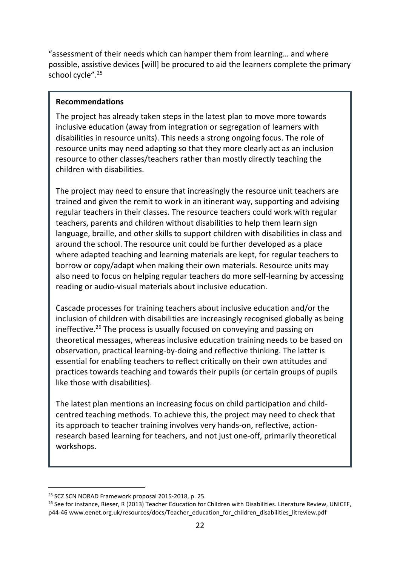"assessment of their needs which can hamper them from learning… and where possible, assistive devices [will] be procured to aid the learners complete the primary school cycle".<sup>25</sup>

#### **Recommendations**

The project has already taken steps in the latest plan to move more towards inclusive education (away from integration or segregation of learners with disabilities in resource units). This needs a strong ongoing focus. The role of resource units may need adapting so that they more clearly act as an inclusion resource to other classes/teachers rather than mostly directly teaching the children with disabilities.

The project may need to ensure that increasingly the resource unit teachers are trained and given the remit to work in an itinerant way, supporting and advising regular teachers in their classes. The resource teachers could work with regular teachers, parents and children without disabilities to help them learn sign language, braille, and other skills to support children with disabilities in class and around the school. The resource unit could be further developed as a place where adapted teaching and learning materials are kept, for regular teachers to borrow or copy/adapt when making their own materials. Resource units may also need to focus on helping regular teachers do more self-learning by accessing reading or audio-visual materials about inclusive education.

Cascade processes for training teachers about inclusive education and/or the inclusion of children with disabilities are increasingly recognised globally as being ineffective.<sup>26</sup> The process is usually focused on conveying and passing on theoretical messages, whereas inclusive education training needs to be based on observation, practical learning-by-doing and reflective thinking. The latter is essential for enabling teachers to reflect critically on their own attitudes and practices towards teaching and towards their pupils (or certain groups of pupils like those with disabilities).

The latest plan mentions an increasing focus on child participation and childcentred teaching methods. To achieve this, the project may need to check that its approach to teacher training involves very hands-on, reflective, actionresearch based learning for teachers, and not just one-off, primarily theoretical workshops.

<sup>25</sup> SCZ SCN NORAD Framework proposal 2015-2018, p. 25.

<sup>&</sup>lt;sup>26</sup> See for instance, Rieser, R (2013) Teacher Education for Children with Disabilities. Literature Review, UNICEF, p44-46 www.eenet.org.uk/resources/docs/Teacher\_education\_for\_children\_disabilities\_litreview.pdf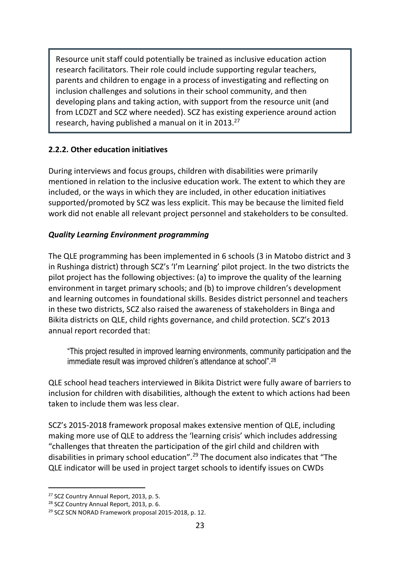Resource unit staff could potentially be trained as inclusive education action research facilitators. Their role could include supporting regular teachers, parents and children to engage in a process of investigating and reflecting on inclusion challenges and solutions in their school community, and then developing plans and taking action, with support from the resource unit (and from LCDZT and SCZ where needed). SCZ has existing experience around action research, having published a manual on it in 2013.<sup>27</sup>

#### **2.2.2. Other education initiatives**

During interviews and focus groups, children with disabilities were primarily mentioned in relation to the inclusive education work. The extent to which they are included, or the ways in which they are included, in other education initiatives supported/promoted by SCZ was less explicit. This may be because the limited field work did not enable all relevant project personnel and stakeholders to be consulted.

#### *Quality Learning Environment programming*

The QLE programming has been implemented in 6 schools (3 in Matobo district and 3 in Rushinga district) through SCZ's 'I'm Learning' pilot project. In the two districts the pilot project has the following objectives: (a) to improve the quality of the learning environment in target primary schools; and (b) to improve children's development and learning outcomes in foundational skills. Besides district personnel and teachers in these two districts, SCZ also raised the awareness of stakeholders in Binga and Bikita districts on QLE, child rights governance, and child protection. SCZ's 2013 annual report recorded that:

"This project resulted in improved learning environments, community participation and the immediate result was improved children's attendance at school".<sup>28</sup>

QLE school head teachers interviewed in Bikita District were fully aware of barriers to inclusion for children with disabilities, although the extent to which actions had been taken to include them was less clear.

SCZ's 2015-2018 framework proposal makes extensive mention of QLE, including making more use of QLE to address the 'learning crisis' which includes addressing "challenges that threaten the participation of the girl child and children with disabilities in primary school education".<sup>29</sup> The document also indicates that "The QLE indicator will be used in project target schools to identify issues on CWDs

<sup>&</sup>lt;sup>27</sup> SCZ Country Annual Report, 2013, p. 5.

<sup>&</sup>lt;sup>28</sup> SCZ Country Annual Report, 2013, p. 6.

<sup>29</sup> SCZ SCN NORAD Framework proposal 2015-2018, p. 12.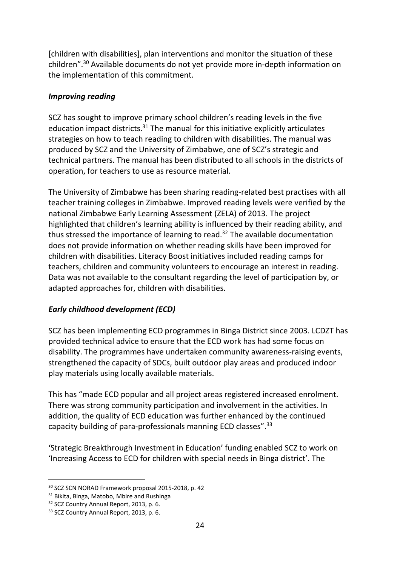[children with disabilities], plan interventions and monitor the situation of these children".<sup>30</sup> Available documents do not yet provide more in-depth information on the implementation of this commitment.

#### *Improving reading*

SCZ has sought to improve primary school children's reading levels in the five education impact districts. $31$  The manual for this initiative explicitly articulates strategies on how to teach reading to children with disabilities. The manual was produced by SCZ and the University of Zimbabwe, one of SCZ's strategic and technical partners. The manual has been distributed to all schools in the districts of operation, for teachers to use as resource material.

The University of Zimbabwe has been sharing reading-related best practises with all teacher training colleges in Zimbabwe. Improved reading levels were verified by the national Zimbabwe Early Learning Assessment (ZELA) of 2013. The project highlighted that children's learning ability is influenced by their reading ability, and thus stressed the importance of learning to read.<sup>32</sup> The available documentation does not provide information on whether reading skills have been improved for children with disabilities. Literacy Boost initiatives included reading camps for teachers, children and community volunteers to encourage an interest in reading. Data was not available to the consultant regarding the level of participation by, or adapted approaches for, children with disabilities.

#### *Early childhood development (ECD)*

SCZ has been implementing ECD programmes in Binga District since 2003. LCDZT has provided technical advice to ensure that the ECD work has had some focus on disability. The programmes have undertaken community awareness-raising events, strengthened the capacity of SDCs, built outdoor play areas and produced indoor play materials using locally available materials.

This has "made ECD popular and all project areas registered increased enrolment. There was strong community participation and involvement in the activities. In addition, the quality of ECD education was further enhanced by the continued capacity building of para-professionals manning ECD classes".<sup>33</sup>

'Strategic Breakthrough Investment in Education' funding enabled SCZ to work on 'Increasing Access to ECD for children with special needs in Binga district'. The

<sup>30</sup> SCZ SCN NORAD Framework proposal 2015-2018, p. 42

<sup>&</sup>lt;sup>31</sup> Bikita, Binga, Matobo, Mbire and Rushinga

<sup>&</sup>lt;sup>32</sup> SCZ Country Annual Report, 2013, p. 6.

<sup>33</sup> SCZ Country Annual Report, 2013, p. 6.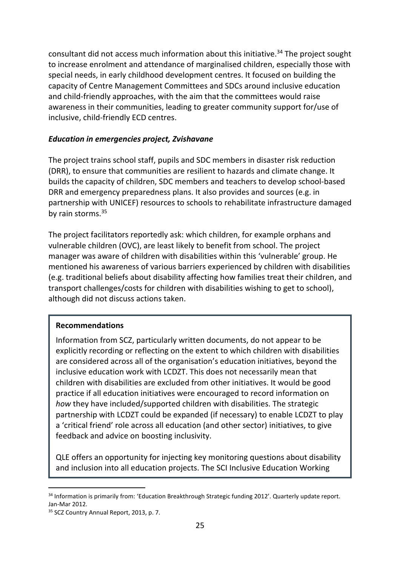consultant did not access much information about this initiative.<sup>34</sup> The project sought to increase enrolment and attendance of marginalised children, especially those with special needs, in early childhood development centres. It focused on building the capacity of Centre Management Committees and SDCs around inclusive education and child-friendly approaches, with the aim that the committees would raise awareness in their communities, leading to greater community support for/use of inclusive, child-friendly ECD centres.

#### *Education in emergencies project, Zvishavane*

The project trains school staff, pupils and SDC members in disaster risk reduction (DRR), to ensure that communities are resilient to hazards and climate change. It builds the capacity of children, SDC members and teachers to develop school-based DRR and emergency preparedness plans. It also provides and sources (e.g. in partnership with UNICEF) resources to schools to rehabilitate infrastructure damaged by rain storms.<sup>35</sup>

The project facilitators reportedly ask: which children, for example orphans and vulnerable children (OVC), are least likely to benefit from school. The project manager was aware of children with disabilities within this 'vulnerable' group. He mentioned his awareness of various barriers experienced by children with disabilities (e.g. traditional beliefs about disability affecting how families treat their children, and transport challenges/costs for children with disabilities wishing to get to school), although did not discuss actions taken.

#### **Recommendations**

Information from SCZ, particularly written documents, do not appear to be explicitly recording or reflecting on the extent to which children with disabilities are considered across all of the organisation's education initiatives, beyond the inclusive education work with LCDZT. This does not necessarily mean that children with disabilities are excluded from other initiatives. It would be good practice if all education initiatives were encouraged to record information on *how* they have included/supported children with disabilities. The strategic partnership with LCDZT could be expanded (if necessary) to enable LCDZT to play a 'critical friend' role across all education (and other sector) initiatives, to give feedback and advice on boosting inclusivity.

QLE offers an opportunity for injecting key monitoring questions about disability and inclusion into all education projects. The SCI Inclusive Education Working

<sup>&</sup>lt;sup>34</sup> Information is primarily from: 'Education Breakthrough Strategic funding 2012'. Quarterly update report. Jan-Mar 2012.

<sup>&</sup>lt;sup>35</sup> SCZ Country Annual Report, 2013, p. 7.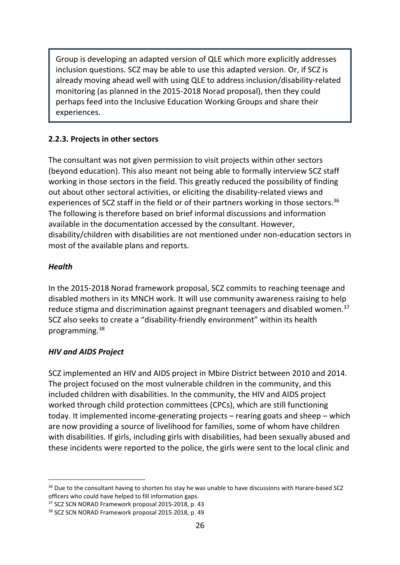Group is developing an adapted version of QLE which more explicitly addresses inclusion questions. SCZ may be able to use this adapted version. Or, if SCZ is already moving ahead well with using QLE to address inclusion/disability-related monitoring (as planned in the 2015-2018 Norad proposal), then they could perhaps feed into the Inclusive Education Working Groups and share their experiences.

#### **2.2.3. Projects in other sectors**

The consultant was not given permission to visit projects within other sectors (beyond education). This also meant not being able to formally interview SCZ staff working in those sectors in the field. This greatly reduced the possibility of finding out about other sectoral activities, or eliciting the disability-related views and experiences of SCZ staff in the field or of their partners working in those sectors.<sup>36</sup> The following is therefore based on brief informal discussions and information available in the documentation accessed by the consultant. However, disability/children with disabilities are not mentioned under non-education sectors in most of the available plans and reports.

#### *Health*

In the 2015-2018 Norad framework proposal, SCZ commits to reaching teenage and disabled mothers in its MNCH work. It will use community awareness raising to help reduce stigma and discrimination against pregnant teenagers and disabled women.<sup>37</sup> SCZ also seeks to create a "disability-friendly environment" within its health programming.<sup>38</sup>

#### *HIV and AIDS Project*

SCZ implemented an HIV and AIDS project in Mbire District between 2010 and 2014. The project focused on the most vulnerable children in the community, and this included children with disabilities. In the community, the HIV and AIDS project worked through child protection committees (CPCs), which are still functioning today. It implemented income-generating projects – rearing goats and sheep – which are now providing a source of livelihood for families, some of whom have children with disabilities. If girls, including girls with disabilities, had been sexually abused and these incidents were reported to the police, the girls were sent to the local clinic and

<sup>&</sup>lt;sup>36</sup> Due to the consultant having to shorten his stay he was unable to have discussions with Harare-based SCZ officers who could have helped to fill information gaps.

<sup>&</sup>lt;sup>37</sup> SCZ SCN NORAD Framework proposal 2015-2018, p. 43

<sup>38</sup> SCZ SCN NORAD Framework proposal 2015-2018, p. 49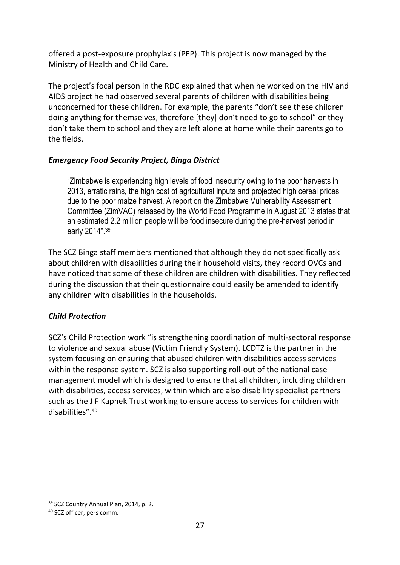offered a post-exposure prophylaxis (PEP). This project is now managed by the Ministry of Health and Child Care.

The project's focal person in the RDC explained that when he worked on the HIV and AIDS project he had observed several parents of children with disabilities being unconcerned for these children. For example, the parents "don't see these children doing anything for themselves, therefore [they] don't need to go to school" or they don't take them to school and they are left alone at home while their parents go to the fields.

#### *Emergency Food Security Project, Binga District*

"Zimbabwe is experiencing high levels of food insecurity owing to the poor harvests in 2013, erratic rains, the high cost of agricultural inputs and projected high cereal prices due to the poor maize harvest. A report on the Zimbabwe Vulnerability Assessment Committee (ZimVAC) released by the World Food Programme in August 2013 states that an estimated 2.2 million people will be food insecure during the pre-harvest period in early 2014".<sup>39</sup>

The SCZ Binga staff members mentioned that although they do not specifically ask about children with disabilities during their household visits, they record OVCs and have noticed that some of these children are children with disabilities. They reflected during the discussion that their questionnaire could easily be amended to identify any children with disabilities in the households.

#### *Child Protection*

SCZ's Child Protection work "is strengthening coordination of multi-sectoral response to violence and sexual abuse (Victim Friendly System). LCDTZ is the partner in the system focusing on ensuring that abused children with disabilities access services within the response system. SCZ is also supporting roll-out of the national case management model which is designed to ensure that all children, including children with disabilities, access services, within which are also disability specialist partners such as the J F Kapnek Trust working to ensure access to services for children with disabilities".<sup>40</sup>

<sup>&</sup>lt;sup>39</sup> SCZ Country Annual Plan, 2014, p. 2.

<sup>40</sup> SCZ officer, pers comm.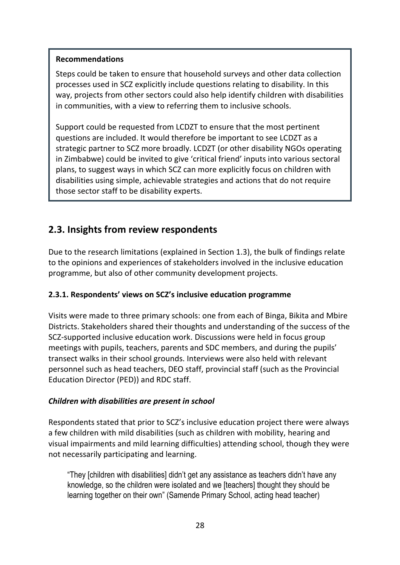#### **Recommendations**

Steps could be taken to ensure that household surveys and other data collection processes used in SCZ explicitly include questions relating to disability. In this way, projects from other sectors could also help identify children with disabilities in communities, with a view to referring them to inclusive schools.

Support could be requested from LCDZT to ensure that the most pertinent questions are included. It would therefore be important to see LCDZT as a strategic partner to SCZ more broadly. LCDZT (or other disability NGOs operating in Zimbabwe) could be invited to give 'critical friend' inputs into various sectoral plans, to suggest ways in which SCZ can more explicitly focus on children with disabilities using simple, achievable strategies and actions that do not require those sector staff to be disability experts.

## **2.3. Insights from review respondents**

Due to the research limitations (explained in Section 1.3), the bulk of findings relate to the opinions and experiences of stakeholders involved in the inclusive education programme, but also of other community development projects.

#### **2.3.1. Respondents' views on SCZ's inclusive education programme**

Visits were made to three primary schools: one from each of Binga, Bikita and Mbire Districts. Stakeholders shared their thoughts and understanding of the success of the SCZ-supported inclusive education work. Discussions were held in focus group meetings with pupils, teachers, parents and SDC members, and during the pupils' transect walks in their school grounds. Interviews were also held with relevant personnel such as head teachers, DEO staff, provincial staff (such as the Provincial Education Director (PED)) and RDC staff.

#### *Children with disabilities are present in school*

Respondents stated that prior to SCZ's inclusive education project there were always a few children with mild disabilities (such as children with mobility, hearing and visual impairments and mild learning difficulties) attending school, though they were not necessarily participating and learning.

"They [children with disabilities] didn't get any assistance as teachers didn't have any knowledge, so the children were isolated and we [teachers] thought they should be learning together on their own" (Samende Primary School, acting head teacher)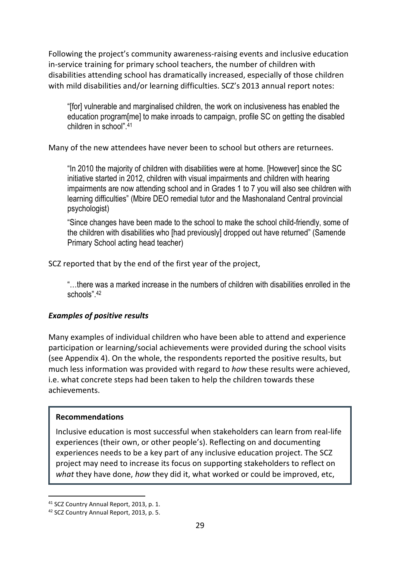Following the project's community awareness-raising events and inclusive education in-service training for primary school teachers, the number of children with disabilities attending school has dramatically increased, especially of those children with mild disabilities and/or learning difficulties. SCZ's 2013 annual report notes:

"[for] vulnerable and marginalised children, the work on inclusiveness has enabled the education program[me] to make inroads to campaign, profile SC on getting the disabled children in school".<sup>41</sup>

Many of the new attendees have never been to school but others are returnees.

"In 2010 the majority of children with disabilities were at home. [However] since the SC initiative started in 2012, children with visual impairments and children with hearing impairments are now attending school and in Grades 1 to 7 you will also see children with learning difficulties" (Mbire DEO remedial tutor and the Mashonaland Central provincial psychologist)

"Since changes have been made to the school to make the school child-friendly, some of the children with disabilities who [had previously] dropped out have returned" (Samende Primary School acting head teacher)

SCZ reported that by the end of the first year of the project,

"…there was a marked increase in the numbers of children with disabilities enrolled in the schools".<sup>42</sup>

#### *Examples of positive results*

Many examples of individual children who have been able to attend and experience participation or learning/social achievements were provided during the school visits (see Appendix 4). On the whole, the respondents reported the positive results, but much less information was provided with regard to *how* these results were achieved, i.e. what concrete steps had been taken to help the children towards these achievements.

#### **Recommendations**

Inclusive education is most successful when stakeholders can learn from real-life experiences (their own, or other people's). Reflecting on and documenting experiences needs to be a key part of any inclusive education project. The SCZ project may need to increase its focus on supporting stakeholders to reflect on *what* they have done, *how* they did it, what worked or could be improved, etc,

<sup>41</sup> SCZ Country Annual Report, 2013, p. 1.

<sup>42</sup> SCZ Country Annual Report, 2013, p. 5.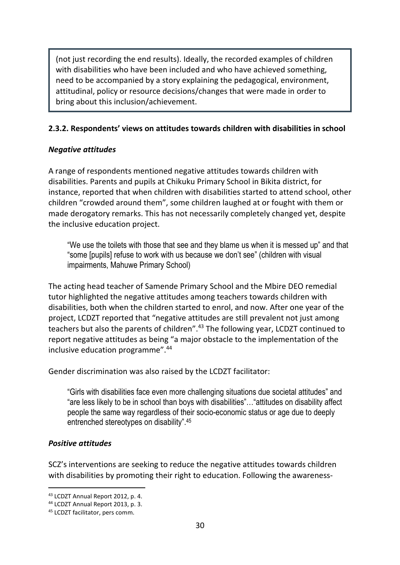(not just recording the end results). Ideally, the recorded examples of children with disabilities who have been included and who have achieved something, need to be accompanied by a story explaining the pedagogical, environment, attitudinal, policy or resource decisions/changes that were made in order to bring about this inclusion/achievement.

#### **2.3.2. Respondents' views on attitudes towards children with disabilities in school**

#### *Negative attitudes*

A range of respondents mentioned negative attitudes towards children with disabilities. Parents and pupils at Chikuku Primary School in Bikita district, for instance, reported that when children with disabilities started to attend school, other children "crowded around them", some children laughed at or fought with them or made derogatory remarks. This has not necessarily completely changed yet, despite the inclusive education project.

"We use the toilets with those that see and they blame us when it is messed up" and that "some [pupils] refuse to work with us because we don't see" (children with visual impairments, Mahuwe Primary School)

The acting head teacher of Samende Primary School and the Mbire DEO remedial tutor highlighted the negative attitudes among teachers towards children with disabilities, both when the children started to enrol, and now. After one year of the project, LCDZT reported that "negative attitudes are still prevalent not just among teachers but also the parents of children".<sup>43</sup> The following year, LCDZT continued to report negative attitudes as being "a major obstacle to the implementation of the inclusive education programme".<sup>44</sup>

Gender discrimination was also raised by the LCDZT facilitator:

"Girls with disabilities face even more challenging situations due societal attitudes" and "are less likely to be in school than boys with disabilities"…"attitudes on disability affect people the same way regardless of their socio-economic status or age due to deeply entrenched stereotypes on disability".<sup>45</sup>

#### *Positive attitudes*

SCZ's interventions are seeking to reduce the negative attitudes towards children with disabilities by promoting their right to education. Following the awareness-

<sup>43</sup> LCDZT Annual Report 2012, p. 4.

<sup>44</sup> LCDZT Annual Report 2013, p. 3.

<sup>45</sup> LCDZT facilitator, pers comm.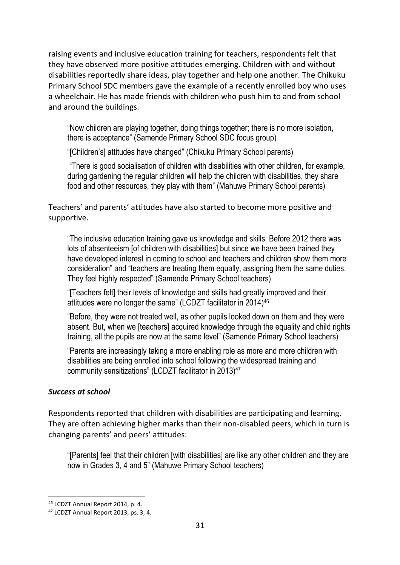raising events and inclusive education training for teachers, respondents felt that they have observed more positive attitudes emerging. Children with and without disabilities reportedly share ideas, play together and help one another. The Chikuku Primary School SDC members gave the example of a recently enrolled boy who uses a wheelchair. He has made friends with children who push him to and from school and around the buildings.

"Now children are playing together, doing things together; there is no more isolation, there is acceptance" (Samende Primary School SDC focus group)

"[Children's] attitudes have changed" (Chikuku Primary School parents)

 "There is good socialisation of children with disabilities with other children, for example, during gardening the regular children will help the children with disabilities, they share food and other resources, they play with them" (Mahuwe Primary School parents)

Teachers' and parents' attitudes have also started to become more positive and supportive.

"The inclusive education training gave us knowledge and skills. Before 2012 there was lots of absenteeism [of children with disabilities] but since we have been trained they have developed interest in coming to school and teachers and children show them more consideration" and "teachers are treating them equally, assigning them the same duties. They feel highly respected" (Samende Primary School teachers)

"[Teachers felt] their levels of knowledge and skills had greatly improved and their attitudes were no longer the same" (LCDZT facilitator in 2014)<sup>46</sup>

"Before, they were not treated well, as other pupils looked down on them and they were absent. But, when we [teachers] acquired knowledge through the equality and child rights training, all the pupils are now at the same level" (Samende Primary School teachers)

"Parents are increasingly taking a more enabling role as more and more children with disabilities are being enrolled into school following the widespread training and community sensitizations" (LCDZT facilitator in 2013)<sup>47</sup>

#### *Success at school*

Respondents reported that children with disabilities are participating and learning. They are often achieving higher marks than their non-disabled peers, which in turn is changing parents' and peers' attitudes:

"[Parents] feel that their children [with disabilities] are like any other children and they are now in Grades 3, 4 and 5" (Mahuwe Primary School teachers)

<sup>46</sup> LCDZT Annual Report 2014, p. 4.

<sup>47</sup> LCDZT Annual Report 2013, ps. 3, 4.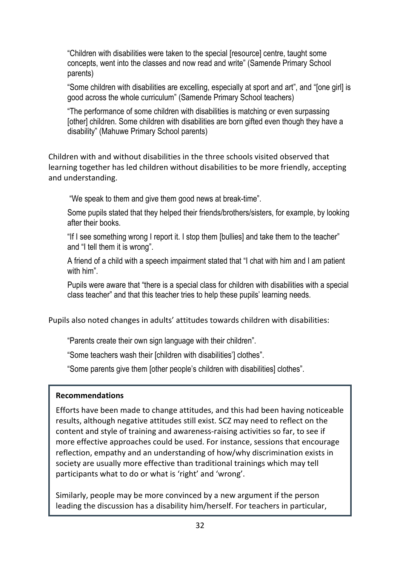"Children with disabilities were taken to the special [resource] centre, taught some concepts, went into the classes and now read and write" (Samende Primary School parents)

"Some children with disabilities are excelling, especially at sport and art", and "[one girl] is good across the whole curriculum" (Samende Primary School teachers)

"The performance of some children with disabilities is matching or even surpassing [other] children. Some children with disabilities are born gifted even though they have a disability" (Mahuwe Primary School parents)

Children with and without disabilities in the three schools visited observed that learning together has led children without disabilities to be more friendly, accepting and understanding.

"We speak to them and give them good news at break-time".

Some pupils stated that they helped their friends/brothers/sisters, for example, by looking after their books.

"If I see something wrong I report it. I stop them [bullies] and take them to the teacher" and "I tell them it is wrong".

A friend of a child with a speech impairment stated that "I chat with him and I am patient with him".

Pupils were aware that "there is a special class for children with disabilities with a special class teacher" and that this teacher tries to help these pupils' learning needs.

Pupils also noted changes in adults' attitudes towards children with disabilities:

"Parents create their own sign language with their children".

"Some teachers wash their [children with disabilities'] clothes".

"Some parents give them [other people's children with disabilities] clothes".

#### **Recommendations**

Efforts have been made to change attitudes, and this had been having noticeable results, although negative attitudes still exist. SCZ may need to reflect on the content and style of training and awareness-raising activities so far, to see if more effective approaches could be used. For instance, sessions that encourage reflection, empathy and an understanding of how/why discrimination exists in society are usually more effective than traditional trainings which may tell participants what to do or what is 'right' and 'wrong'.

Similarly, people may be more convinced by a new argument if the person leading the discussion has a disability him/herself. For teachers in particular,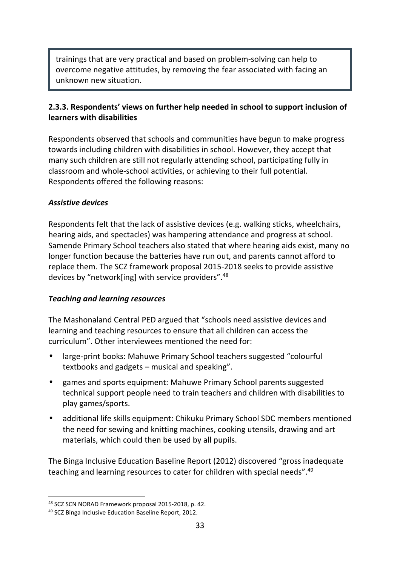trainings that are very practical and based on problem-solving can help to overcome negative attitudes, by removing the fear associated with facing an unknown new situation.

#### **2.3.3. Respondents' views on further help needed in school to support inclusion of learners with disabilities**

Respondents observed that schools and communities have begun to make progress towards including children with disabilities in school. However, they accept that many such children are still not regularly attending school, participating fully in classroom and whole-school activities, or achieving to their full potential. Respondents offered the following reasons:

#### *Assistive devices*

Respondents felt that the lack of assistive devices (e.g. walking sticks, wheelchairs, hearing aids, and spectacles) was hampering attendance and progress at school. Samende Primary School teachers also stated that where hearing aids exist, many no longer function because the batteries have run out, and parents cannot afford to replace them. The SCZ framework proposal 2015-2018 seeks to provide assistive devices by "network[ing] with service providers".<sup>48</sup>

#### *Teaching and learning resources*

The Mashonaland Central PED argued that "schools need assistive devices and learning and teaching resources to ensure that all children can access the curriculum". Other interviewees mentioned the need for:

- large-print books: Mahuwe Primary School teachers suggested "colourful textbooks and gadgets – musical and speaking".
- games and sports equipment: Mahuwe Primary School parents suggested technical support people need to train teachers and children with disabilities to play games/sports.
- additional life skills equipment: Chikuku Primary School SDC members mentioned the need for sewing and knitting machines, cooking utensils, drawing and art materials, which could then be used by all pupils.

The Binga Inclusive Education Baseline Report (2012) discovered "gross inadequate teaching and learning resources to cater for children with special needs".<sup>49</sup>

<sup>48</sup> SCZ SCN NORAD Framework proposal 2015-2018, p. 42.

<sup>49</sup> SCZ Binga Inclusive Education Baseline Report, 2012.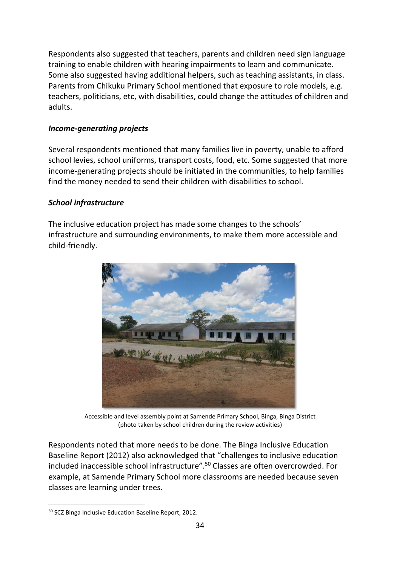Respondents also suggested that teachers, parents and children need sign language training to enable children with hearing impairments to learn and communicate. Some also suggested having additional helpers, such as teaching assistants, in class. Parents from Chikuku Primary School mentioned that exposure to role models, e.g. teachers, politicians, etc, with disabilities, could change the attitudes of children and adults.

#### *Income-generating projects*

Several respondents mentioned that many families live in poverty, unable to afford school levies, school uniforms, transport costs, food, etc. Some suggested that more income-generating projects should be initiated in the communities, to help families find the money needed to send their children with disabilities to school.

#### *School infrastructure*

The inclusive education project has made some changes to the schools' infrastructure and surrounding environments, to make them more accessible and child-friendly.



Accessible and level assembly point at Samende Primary School, Binga, Binga District (photo taken by school children during the review activities)

Respondents noted that more needs to be done. The Binga Inclusive Education Baseline Report (2012) also acknowledged that "challenges to inclusive education included inaccessible school infrastructure".<sup>50</sup> Classes are often overcrowded. For example, at Samende Primary School more classrooms are needed because seven classes are learning under trees.

<sup>50</sup> SCZ Binga Inclusive Education Baseline Report, 2012.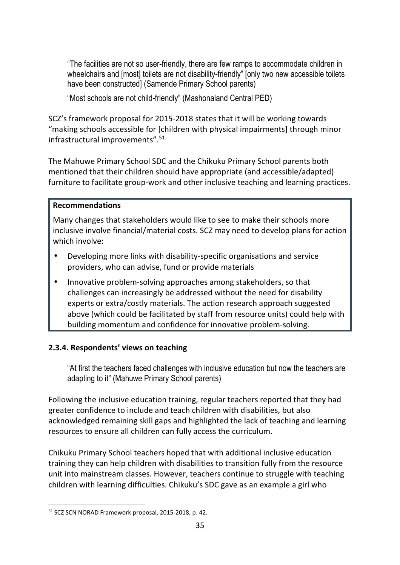"The facilities are not so user-friendly, there are few ramps to accommodate children in wheelchairs and [most] toilets are not disability-friendly" [only two new accessible toilets have been constructed] (Samende Primary School parents)

"Most schools are not child-friendly" (Mashonaland Central PED)

SCZ's framework proposal for 2015-2018 states that it will be working towards "making schools accessible for [children with physical impairments] through minor infrastructural improvements".<sup>51</sup>

The Mahuwe Primary School SDC and the Chikuku Primary School parents both mentioned that their children should have appropriate (and accessible/adapted) furniture to facilitate group-work and other inclusive teaching and learning practices.

#### **Recommendations**

Many changes that stakeholders would like to see to make their schools more inclusive involve financial/material costs. SCZ may need to develop plans for action which involve:

- Developing more links with disability-specific organisations and service providers, who can advise, fund or provide materials
- Innovative problem-solving approaches among stakeholders, so that challenges can increasingly be addressed without the need for disability experts or extra/costly materials. The action research approach suggested above (which could be facilitated by staff from resource units) could help with building momentum and confidence for innovative problem-solving.

#### **2.3.4. Respondents' views on teaching**

"At first the teachers faced challenges with inclusive education but now the teachers are adapting to it" (Mahuwe Primary School parents)

Following the inclusive education training, regular teachers reported that they had greater confidence to include and teach children with disabilities, but also acknowledged remaining skill gaps and highlighted the lack of teaching and learning resources to ensure all children can fully access the curriculum.

Chikuku Primary School teachers hoped that with additional inclusive education training they can help children with disabilities to transition fully from the resource unit into mainstream classes. However, teachers continue to struggle with teaching children with learning difficulties. Chikuku's SDC gave as an example a girl who

<sup>51</sup> SCZ SCN NORAD Framework proposal, 2015-2018, p. 42.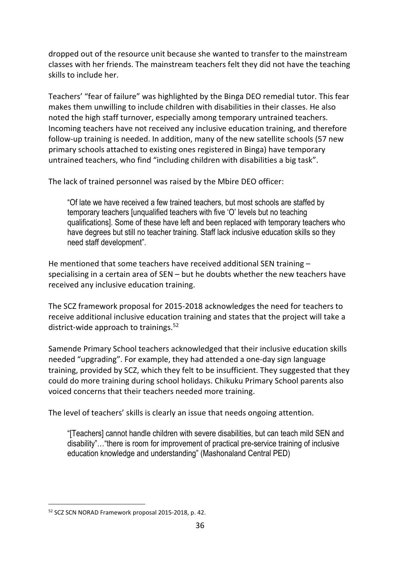dropped out of the resource unit because she wanted to transfer to the mainstream classes with her friends. The mainstream teachers felt they did not have the teaching skills to include her.

Teachers' "fear of failure" was highlighted by the Binga DEO remedial tutor. This fear makes them unwilling to include children with disabilities in their classes. He also noted the high staff turnover, especially among temporary untrained teachers. Incoming teachers have not received any inclusive education training, and therefore follow-up training is needed. In addition, many of the new satellite schools (57 new primary schools attached to existing ones registered in Binga) have temporary untrained teachers, who find "including children with disabilities a big task".

The lack of trained personnel was raised by the Mbire DEO officer:

"Of late we have received a few trained teachers, but most schools are staffed by temporary teachers [unqualified teachers with five 'O' levels but no teaching qualifications]. Some of these have left and been replaced with temporary teachers who have degrees but still no teacher training. Staff lack inclusive education skills so they need staff development".

He mentioned that some teachers have received additional SEN training – specialising in a certain area of SEN – but he doubts whether the new teachers have received any inclusive education training.

The SCZ framework proposal for 2015-2018 acknowledges the need for teachers to receive additional inclusive education training and states that the project will take a district-wide approach to trainings.<sup>52</sup>

Samende Primary School teachers acknowledged that their inclusive education skills needed "upgrading". For example, they had attended a one-day sign language training, provided by SCZ, which they felt to be insufficient. They suggested that they could do more training during school holidays. Chikuku Primary School parents also voiced concerns that their teachers needed more training.

The level of teachers' skills is clearly an issue that needs ongoing attention.

"[Teachers] cannot handle children with severe disabilities, but can teach mild SEN and disability"…"there is room for improvement of practical pre-service training of inclusive education knowledge and understanding" (Mashonaland Central PED)

<sup>52</sup> SCZ SCN NORAD Framework proposal 2015-2018, p. 42.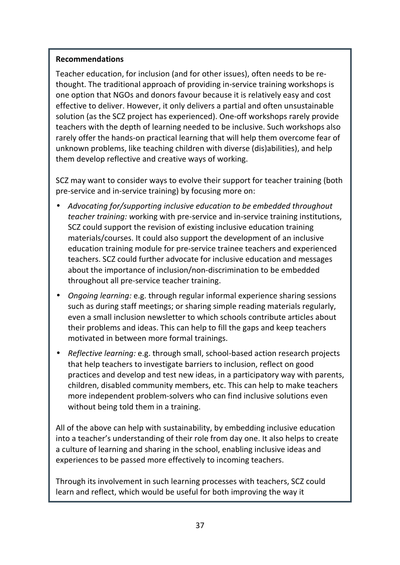#### **Recommendations**

Teacher education, for inclusion (and for other issues), often needs to be rethought. The traditional approach of providing in-service training workshops is one option that NGOs and donors favour because it is relatively easy and cost effective to deliver. However, it only delivers a partial and often unsustainable solution (as the SCZ project has experienced). One-off workshops rarely provide teachers with the depth of learning needed to be inclusive. Such workshops also rarely offer the hands-on practical learning that will help them overcome fear of unknown problems, like teaching children with diverse (dis)abilities), and help them develop reflective and creative ways of working.

SCZ may want to consider ways to evolve their support for teacher training (both pre-service and in-service training) by focusing more on:

- *Advocating for/supporting inclusive education to be embedded throughout teacher training: w*orking with pre-service and in-service training institutions, SCZ could support the revision of existing inclusive education training materials/courses. It could also support the development of an inclusive education training module for pre-service trainee teachers and experienced teachers. SCZ could further advocate for inclusive education and messages about the importance of inclusion/non-discrimination to be embedded throughout all pre-service teacher training.
- *Ongoing learning:* e.g. through regular informal experience sharing sessions such as during staff meetings; or sharing simple reading materials regularly, even a small inclusion newsletter to which schools contribute articles about their problems and ideas. This can help to fill the gaps and keep teachers motivated in between more formal trainings.
- *Reflective learning:* e.g. through small, school-based action research projects that help teachers to investigate barriers to inclusion, reflect on good practices and develop and test new ideas, in a participatory way with parents, children, disabled community members, etc. This can help to make teachers more independent problem-solvers who can find inclusive solutions even without being told them in a training.

All of the above can help with sustainability, by embedding inclusive education into a teacher's understanding of their role from day one. It also helps to create a culture of learning and sharing in the school, enabling inclusive ideas and experiences to be passed more effectively to incoming teachers.

Through its involvement in such learning processes with teachers, SCZ could learn and reflect, which would be useful for both improving the way it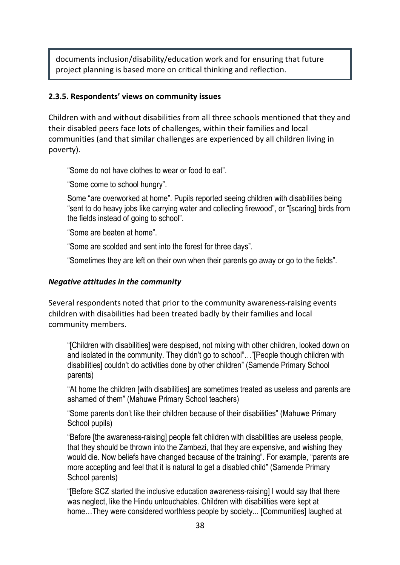documents inclusion/disability/education work and for ensuring that future project planning is based more on critical thinking and reflection.

#### **2.3.5. Respondents' views on community issues**

Children with and without disabilities from all three schools mentioned that they and their disabled peers face lots of challenges, within their families and local communities (and that similar challenges are experienced by all children living in poverty).

"Some do not have clothes to wear or food to eat".

"Some come to school hungry".

Some "are overworked at home". Pupils reported seeing children with disabilities being "sent to do heavy jobs like carrying water and collecting firewood", or "[scaring] birds from the fields instead of going to school".

"Some are beaten at home".

"Some are scolded and sent into the forest for three days".

"Sometimes they are left on their own when their parents go away or go to the fields".

#### *Negative attitudes in the community*

Several respondents noted that prior to the community awareness-raising events children with disabilities had been treated badly by their families and local community members.

"[Children with disabilities] were despised, not mixing with other children, looked down on and isolated in the community. They didn't go to school"…"[People though children with disabilities] couldn't do activities done by other children" (Samende Primary School parents)

"At home the children [with disabilities] are sometimes treated as useless and parents are ashamed of them" (Mahuwe Primary School teachers)

"Some parents don't like their children because of their disabilities" (Mahuwe Primary School pupils)

"Before [the awareness-raising] people felt children with disabilities are useless people, that they should be thrown into the Zambezi, that they are expensive, and wishing they would die. Now beliefs have changed because of the training". For example, "parents are more accepting and feel that it is natural to get a disabled child" (Samende Primary School parents)

"[Before SCZ started the inclusive education awareness-raising] I would say that there was neglect, like the Hindu untouchables. Children with disabilities were kept at home...They were considered worthless people by society... [Communities] laughed at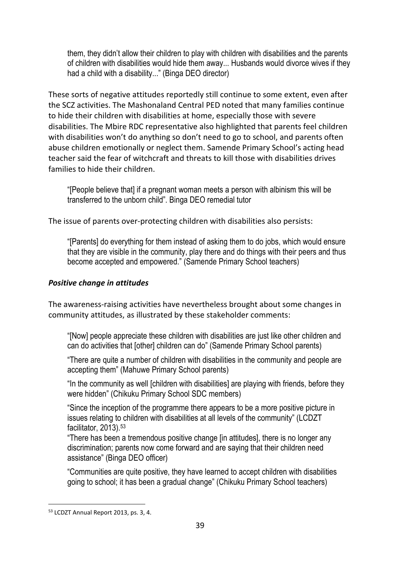them, they didn't allow their children to play with children with disabilities and the parents of children with disabilities would hide them away... Husbands would divorce wives if they had a child with a disability..." (Binga DEO director)

These sorts of negative attitudes reportedly still continue to some extent, even after the SCZ activities. The Mashonaland Central PED noted that many families continue to hide their children with disabilities at home, especially those with severe disabilities. The Mbire RDC representative also highlighted that parents feel children with disabilities won't do anything so don't need to go to school, and parents often abuse children emotionally or neglect them. Samende Primary School's acting head teacher said the fear of witchcraft and threats to kill those with disabilities drives families to hide their children.

"[People believe that] if a pregnant woman meets a person with albinism this will be transferred to the unborn child". Binga DEO remedial tutor

The issue of parents over-protecting children with disabilities also persists:

"[Parents] do everything for them instead of asking them to do jobs, which would ensure that they are visible in the community, play there and do things with their peers and thus become accepted and empowered." (Samende Primary School teachers)

#### *Positive change in attitudes*

The awareness-raising activities have nevertheless brought about some changes in community attitudes, as illustrated by these stakeholder comments:

"[Now] people appreciate these children with disabilities are just like other children and can do activities that [other] children can do" (Samende Primary School parents)

"There are quite a number of children with disabilities in the community and people are accepting them" (Mahuwe Primary School parents)

"In the community as well [children with disabilities] are playing with friends, before they were hidden" (Chikuku Primary School SDC members)

"Since the inception of the programme there appears to be a more positive picture in issues relating to children with disabilities at all levels of the community" (LCDZT facilitator, 2013).<sup>53</sup>

"There has been a tremendous positive change [in attitudes], there is no longer any discrimination; parents now come forward and are saying that their children need assistance" (Binga DEO officer)

"Communities are quite positive, they have learned to accept children with disabilities going to school; it has been a gradual change" (Chikuku Primary School teachers)

<sup>53</sup> LCDZT Annual Report 2013, ps. 3, 4.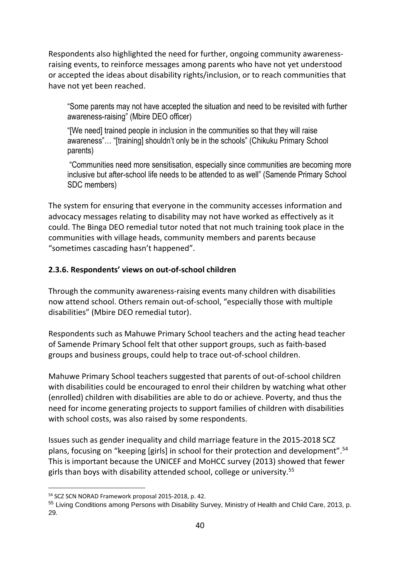Respondents also highlighted the need for further, ongoing community awarenessraising events, to reinforce messages among parents who have not yet understood or accepted the ideas about disability rights/inclusion, or to reach communities that have not yet been reached.

"Some parents may not have accepted the situation and need to be revisited with further awareness-raising" (Mbire DEO officer)

"[We need] trained people in inclusion in the communities so that they will raise awareness"… "[training] shouldn't only be in the schools" (Chikuku Primary School parents)

 "Communities need more sensitisation, especially since communities are becoming more inclusive but after-school life needs to be attended to as well" (Samende Primary School SDC members)

The system for ensuring that everyone in the community accesses information and advocacy messages relating to disability may not have worked as effectively as it could. The Binga DEO remedial tutor noted that not much training took place in the communities with village heads, community members and parents because "sometimes cascading hasn't happened".

#### **2.3.6. Respondents' views on out-of-school children**

Through the community awareness-raising events many children with disabilities now attend school. Others remain out-of-school, "especially those with multiple disabilities" (Mbire DEO remedial tutor).

Respondents such as Mahuwe Primary School teachers and the acting head teacher of Samende Primary School felt that other support groups, such as faith-based groups and business groups, could help to trace out-of-school children.

Mahuwe Primary School teachers suggested that parents of out-of-school children with disabilities could be encouraged to enrol their children by watching what other (enrolled) children with disabilities are able to do or achieve. Poverty, and thus the need for income generating projects to support families of children with disabilities with school costs, was also raised by some respondents.

Issues such as gender inequality and child marriage feature in the 2015-2018 SCZ plans, focusing on "keeping [girls] in school for their protection and development".<sup>54</sup> This is important because the UNICEF and MoHCC survey (2013) showed that fewer girls than boys with disability attended school, college or university.<sup>55</sup>

<sup>54</sup> SCZ SCN NORAD Framework proposal 2015-2018, p. 42.

<sup>&</sup>lt;sup>55</sup> Living Conditions among Persons with Disability Survey, Ministry of Health and Child Care, 2013, p. 29.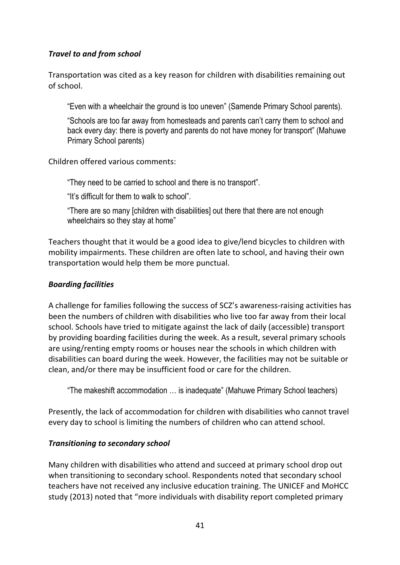#### *Travel to and from school*

Transportation was cited as a key reason for children with disabilities remaining out of school.

"Even with a wheelchair the ground is too uneven" (Samende Primary School parents).

"Schools are too far away from homesteads and parents can't carry them to school and back every day: there is poverty and parents do not have money for transport" (Mahuwe Primary School parents)

Children offered various comments:

"They need to be carried to school and there is no transport".

"It's difficult for them to walk to school".

"There are so many [children with disabilities] out there that there are not enough wheelchairs so they stay at home"

Teachers thought that it would be a good idea to give/lend bicycles to children with mobility impairments. These children are often late to school, and having their own transportation would help them be more punctual.

#### *Boarding facilities*

A challenge for families following the success of SCZ's awareness-raising activities has been the numbers of children with disabilities who live too far away from their local school. Schools have tried to mitigate against the lack of daily (accessible) transport by providing boarding facilities during the week. As a result, several primary schools are using/renting empty rooms or houses near the schools in which children with disabilities can board during the week. However, the facilities may not be suitable or clean, and/or there may be insufficient food or care for the children.

"The makeshift accommodation … is inadequate" (Mahuwe Primary School teachers)

Presently, the lack of accommodation for children with disabilities who cannot travel every day to school is limiting the numbers of children who can attend school.

#### *Transitioning to secondary school*

Many children with disabilities who attend and succeed at primary school drop out when transitioning to secondary school. Respondents noted that secondary school teachers have not received any inclusive education training. The UNICEF and MoHCC study (2013) noted that "more individuals with disability report completed primary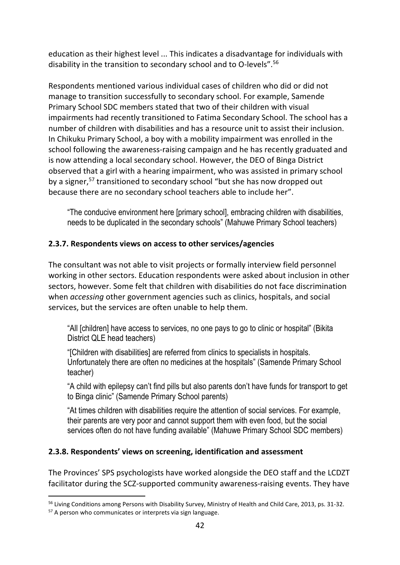education as their highest level ... This indicates a disadvantage for individuals with disability in the transition to secondary school and to O-levels".<sup>56</sup>

Respondents mentioned various individual cases of children who did or did not manage to transition successfully to secondary school. For example, Samende Primary School SDC members stated that two of their children with visual impairments had recently transitioned to Fatima Secondary School. The school has a number of children with disabilities and has a resource unit to assist their inclusion. In Chikuku Primary School, a boy with a mobility impairment was enrolled in the school following the awareness-raising campaign and he has recently graduated and is now attending a local secondary school. However, the DEO of Binga District observed that a girl with a hearing impairment, who was assisted in primary school by a signer,<sup>57</sup> transitioned to secondary school "but she has now dropped out because there are no secondary school teachers able to include her".

"The conducive environment here [primary school], embracing children with disabilities, needs to be duplicated in the secondary schools" (Mahuwe Primary School teachers)

#### **2.3.7. Respondents views on access to other services/agencies**

The consultant was not able to visit projects or formally interview field personnel working in other sectors. Education respondents were asked about inclusion in other sectors, however. Some felt that children with disabilities do not face discrimination when *accessing* other government agencies such as clinics, hospitals, and social services, but the services are often unable to help them.

"All [children] have access to services, no one pays to go to clinic or hospital" (Bikita District QLE head teachers)

"[Children with disabilities] are referred from clinics to specialists in hospitals. Unfortunately there are often no medicines at the hospitals" (Samende Primary School teacher)

"A child with epilepsy can't find pills but also parents don't have funds for transport to get to Binga clinic" (Samende Primary School parents)

"At times children with disabilities require the attention of social services. For example, their parents are very poor and cannot support them with even food, but the social services often do not have funding available" (Mahuwe Primary School SDC members)

#### **2.3.8. Respondents' views on screening, identification and assessment**

The Provinces' SPS psychologists have worked alongside the DEO staff and the LCDZT facilitator during the SCZ-supported community awareness-raising events. They have

<sup>&</sup>lt;sup>56</sup> Living Conditions among Persons with Disability Survey, Ministry of Health and Child Care, 2013, ps. 31-32.

<sup>&</sup>lt;sup>57</sup> A person who communicates or interprets via sign language.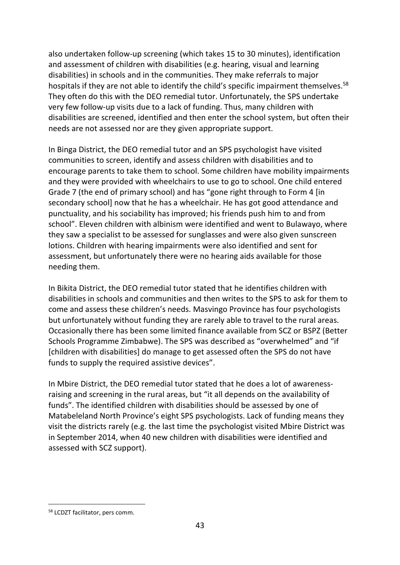also undertaken follow-up screening (which takes 15 to 30 minutes), identification and assessment of children with disabilities (e.g. hearing, visual and learning disabilities) in schools and in the communities. They make referrals to major hospitals if they are not able to identify the child's specific impairment themselves.<sup>58</sup> They often do this with the DEO remedial tutor. Unfortunately, the SPS undertake very few follow-up visits due to a lack of funding. Thus, many children with disabilities are screened, identified and then enter the school system, but often their needs are not assessed nor are they given appropriate support.

In Binga District, the DEO remedial tutor and an SPS psychologist have visited communities to screen, identify and assess children with disabilities and to encourage parents to take them to school. Some children have mobility impairments and they were provided with wheelchairs to use to go to school. One child entered Grade 7 (the end of primary school) and has "gone right through to Form 4 [in secondary school] now that he has a wheelchair. He has got good attendance and punctuality, and his sociability has improved; his friends push him to and from school". Eleven children with albinism were identified and went to Bulawayo, where they saw a specialist to be assessed for sunglasses and were also given sunscreen lotions. Children with hearing impairments were also identified and sent for assessment, but unfortunately there were no hearing aids available for those needing them.

In Bikita District, the DEO remedial tutor stated that he identifies children with disabilities in schools and communities and then writes to the SPS to ask for them to come and assess these children's needs. Masvingo Province has four psychologists but unfortunately without funding they are rarely able to travel to the rural areas. Occasionally there has been some limited finance available from SCZ or BSPZ (Better Schools Programme Zimbabwe). The SPS was described as "overwhelmed" and "if [children with disabilities] do manage to get assessed often the SPS do not have funds to supply the required assistive devices".

In Mbire District, the DEO remedial tutor stated that he does a lot of awarenessraising and screening in the rural areas, but "it all depends on the availability of funds". The identified children with disabilities should be assessed by one of Matabeleland North Province's eight SPS psychologists. Lack of funding means they visit the districts rarely (e.g. the last time the psychologist visited Mbire District was in September 2014, when 40 new children with disabilities were identified and assessed with SCZ support).

<sup>58</sup> LCDZT facilitator, pers comm.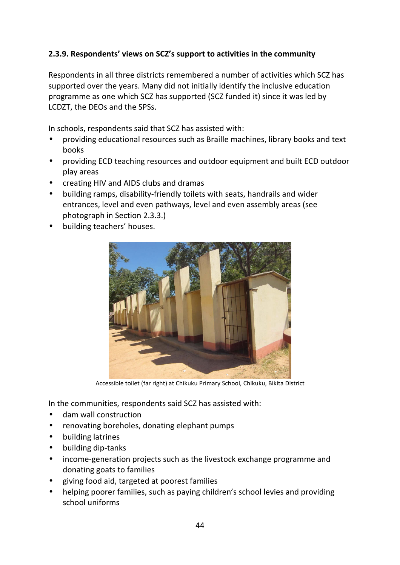#### **2.3.9. Respondents' views on SCZ's support to activities in the community**

Respondents in all three districts remembered a number of activities which SCZ has supported over the years. Many did not initially identify the inclusive education programme as one which SCZ has supported (SCZ funded it) since it was led by LCDZT, the DEOs and the SPSs.

In schools, respondents said that SCZ has assisted with:

- providing educational resources such as Braille machines, library books and text books
- providing ECD teaching resources and outdoor equipment and built ECD outdoor play areas
- creating HIV and AIDS clubs and dramas
- building ramps, disability-friendly toilets with seats, handrails and wider entrances, level and even pathways, level and even assembly areas (see photograph in Section 2.3.3.)
- building teachers' houses.



Accessible toilet (far right) at Chikuku Primary School, Chikuku, Bikita District

In the communities, respondents said SCZ has assisted with:

- dam wall construction
- renovating boreholes, donating elephant pumps
- building latrines
- building dip-tanks
- income-generation projects such as the livestock exchange programme and donating goats to families
- giving food aid, targeted at poorest families
- helping poorer families, such as paying children's school levies and providing school uniforms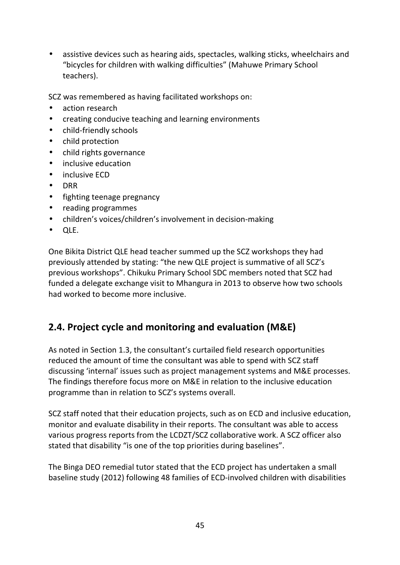• assistive devices such as hearing aids, spectacles, walking sticks, wheelchairs and "bicycles for children with walking difficulties" (Mahuwe Primary School teachers).

SCZ was remembered as having facilitated workshops on:

- action research
- creating conducive teaching and learning environments
- child-friendly schools
- child protection
- child rights governance
- inclusive education
- inclusive ECD
- DRR
- fighting teenage pregnancy
- reading programmes
- children's voices/children's involvement in decision-making
- QLE.

One Bikita District QLE head teacher summed up the SCZ workshops they had previously attended by stating: "the new QLE project is summative of all SCZ's previous workshops". Chikuku Primary School SDC members noted that SCZ had funded a delegate exchange visit to Mhangura in 2013 to observe how two schools had worked to become more inclusive.

### **2.4. Project cycle and monitoring and evaluation (M&E)**

As noted in Section 1.3, the consultant's curtailed field research opportunities reduced the amount of time the consultant was able to spend with SCZ staff discussing 'internal' issues such as project management systems and M&E processes. The findings therefore focus more on M&E in relation to the inclusive education programme than in relation to SCZ's systems overall.

SCZ staff noted that their education projects, such as on ECD and inclusive education, monitor and evaluate disability in their reports. The consultant was able to access various progress reports from the LCDZT/SCZ collaborative work. A SCZ officer also stated that disability "is one of the top priorities during baselines".

The Binga DEO remedial tutor stated that the ECD project has undertaken a small baseline study (2012) following 48 families of ECD-involved children with disabilities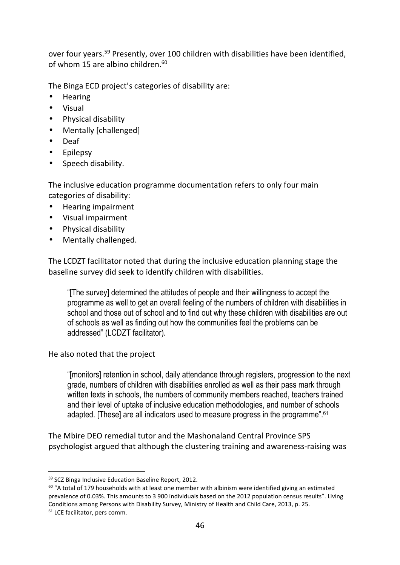over four years.<sup>59</sup> Presently, over 100 children with disabilities have been identified, of whom 15 are albino children.<sup>60</sup>

The Binga ECD project's categories of disability are:

- Hearing
- Visual
- Physical disability
- Mentally [challenged]
- Deaf
- Epilepsy
- Speech disability.

The inclusive education programme documentation refers to only four main categories of disability:

- Hearing impairment
- Visual impairment
- Physical disability
- Mentally challenged.

The LCDZT facilitator noted that during the inclusive education planning stage the baseline survey did seek to identify children with disabilities.

"[The survey] determined the attitudes of people and their willingness to accept the programme as well to get an overall feeling of the numbers of children with disabilities in school and those out of school and to find out why these children with disabilities are out of schools as well as finding out how the communities feel the problems can be addressed" (LCDZT facilitator).

He also noted that the project

"[monitors] retention in school, daily attendance through registers, progression to the next grade, numbers of children with disabilities enrolled as well as their pass mark through written texts in schools, the numbers of community members reached, teachers trained and their level of uptake of inclusive education methodologies, and number of schools adapted. [These] are all indicators used to measure progress in the programme".<sup>61</sup>

The Mbire DEO remedial tutor and the Mashonaland Central Province SPS psychologist argued that although the clustering training and awareness-raising was

<sup>59</sup> SCZ Binga Inclusive Education Baseline Report, 2012.

 $60$  "A total of 179 households with at least one member with albinism were identified giving an estimated prevalence of 0.03%. This amounts to 3 900 individuals based on the 2012 population census results". Living Conditions among Persons with Disability Survey, Ministry of Health and Child Care, 2013, p. 25.

<sup>&</sup>lt;sup>61</sup> LCE facilitator, pers comm.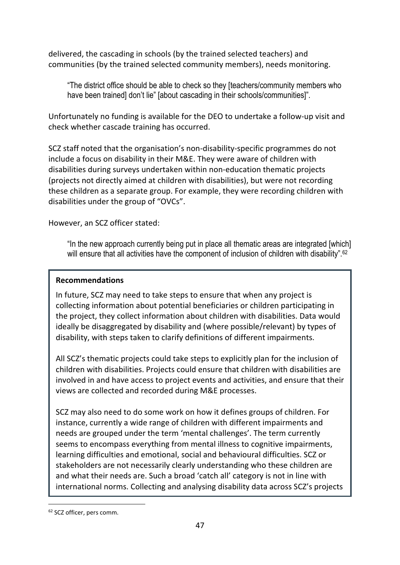delivered, the cascading in schools (by the trained selected teachers) and communities (by the trained selected community members), needs monitoring.

"The district office should be able to check so they [teachers/community members who have been trained] don't lie" [about cascading in their schools/communities]".

Unfortunately no funding is available for the DEO to undertake a follow-up visit and check whether cascade training has occurred.

SCZ staff noted that the organisation's non-disability-specific programmes do not include a focus on disability in their M&E. They were aware of children with disabilities during surveys undertaken within non-education thematic projects (projects not directly aimed at children with disabilities), but were not recording these children as a separate group. For example, they were recording children with disabilities under the group of "OVCs".

However, an SCZ officer stated:

"In the new approach currently being put in place all thematic areas are integrated [which] will ensure that all activities have the component of inclusion of children with disability".<sup>62</sup>

#### **Recommendations**

In future, SCZ may need to take steps to ensure that when any project is collecting information about potential beneficiaries or children participating in the project, they collect information about children with disabilities. Data would ideally be disaggregated by disability and (where possible/relevant) by types of disability, with steps taken to clarify definitions of different impairments.

All SCZ's thematic projects could take steps to explicitly plan for the inclusion of children with disabilities. Projects could ensure that children with disabilities are involved in and have access to project events and activities, and ensure that their views are collected and recorded during M&E processes.

SCZ may also need to do some work on how it defines groups of children. For instance, currently a wide range of children with different impairments and needs are grouped under the term 'mental challenges'. The term currently seems to encompass everything from mental illness to cognitive impairments, learning difficulties and emotional, social and behavioural difficulties. SCZ or stakeholders are not necessarily clearly understanding who these children are and what their needs are. Such a broad 'catch all' category is not in line with international norms. Collecting and analysing disability data across SCZ's projects

<sup>62</sup> SCZ officer, pers comm.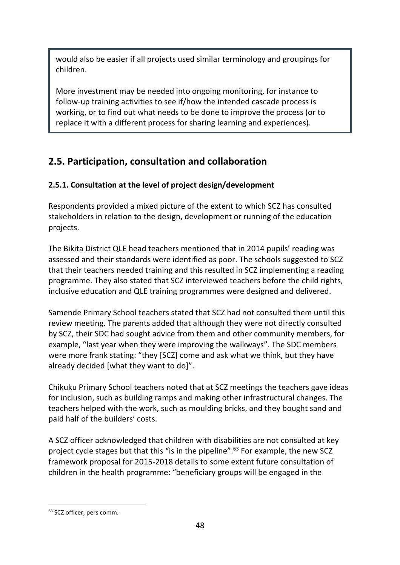would also be easier if all projects used similar terminology and groupings for children.

More investment may be needed into ongoing monitoring, for instance to follow-up training activities to see if/how the intended cascade process is working, or to find out what needs to be done to improve the process (or to replace it with a different process for sharing learning and experiences).

## **2.5. Participation, consultation and collaboration**

#### **2.5.1. Consultation at the level of project design/development**

Respondents provided a mixed picture of the extent to which SCZ has consulted stakeholders in relation to the design, development or running of the education projects.

The Bikita District QLE head teachers mentioned that in 2014 pupils' reading was assessed and their standards were identified as poor. The schools suggested to SCZ that their teachers needed training and this resulted in SCZ implementing a reading programme. They also stated that SCZ interviewed teachers before the child rights, inclusive education and QLE training programmes were designed and delivered.

Samende Primary School teachers stated that SCZ had not consulted them until this review meeting. The parents added that although they were not directly consulted by SCZ, their SDC had sought advice from them and other community members, for example, "last year when they were improving the walkways". The SDC members were more frank stating: "they [SCZ] come and ask what we think, but they have already decided [what they want to do]".

Chikuku Primary School teachers noted that at SCZ meetings the teachers gave ideas for inclusion, such as building ramps and making other infrastructural changes. The teachers helped with the work, such as moulding bricks, and they bought sand and paid half of the builders' costs.

A SCZ officer acknowledged that children with disabilities are not consulted at key project cycle stages but that this "is in the pipeline".<sup>63</sup> For example, the new SCZ framework proposal for 2015-2018 details to some extent future consultation of children in the health programme: "beneficiary groups will be engaged in the

<sup>&</sup>lt;sup>63</sup> SCZ officer, pers comm.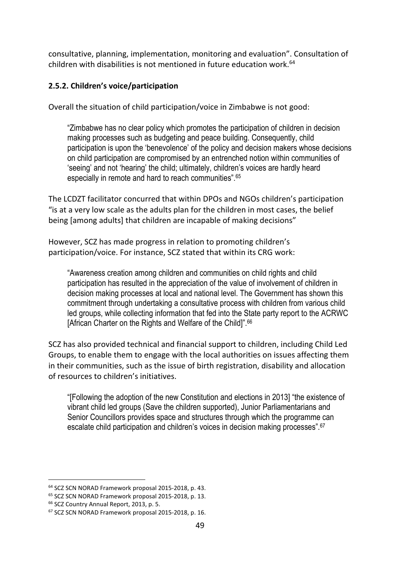consultative, planning, implementation, monitoring and evaluation". Consultation of children with disabilities is not mentioned in future education work.<sup>64</sup>

#### **2.5.2. Children's voice/participation**

Overall the situation of child participation/voice in Zimbabwe is not good:

"Zimbabwe has no clear policy which promotes the participation of children in decision making processes such as budgeting and peace building. Consequently, child participation is upon the 'benevolence' of the policy and decision makers whose decisions on child participation are compromised by an entrenched notion within communities of 'seeing' and not 'hearing' the child; ultimately, children's voices are hardly heard especially in remote and hard to reach communities". 65

The LCDZT facilitator concurred that within DPOs and NGOs children's participation "is at a very low scale as the adults plan for the children in most cases, the belief being [among adults] that children are incapable of making decisions"

However, SCZ has made progress in relation to promoting children's participation/voice. For instance, SCZ stated that within its CRG work:

"Awareness creation among children and communities on child rights and child participation has resulted in the appreciation of the value of involvement of children in decision making processes at local and national level. The Government has shown this commitment through undertaking a consultative process with children from various child led groups, while collecting information that fed into the State party report to the ACRWC [African Charter on the Rights and Welfare of the Child]".<sup>66</sup>

SCZ has also provided technical and financial support to children, including Child Led Groups, to enable them to engage with the local authorities on issues affecting them in their communities, such as the issue of birth registration, disability and allocation of resources to children's initiatives.

"[Following the adoption of the new Constitution and elections in 2013] "the existence of vibrant child led groups (Save the children supported), Junior Parliamentarians and Senior Councillors provides space and structures through which the programme can escalate child participation and children's voices in decision making processes".<sup>67</sup>

<sup>64</sup> SCZ SCN NORAD Framework proposal 2015-2018, p. 43.

<sup>65</sup> SCZ SCN NORAD Framework proposal 2015-2018, p. 13.

<sup>&</sup>lt;sup>66</sup> SCZ Country Annual Report, 2013, p. 5.

<sup>67</sup> SCZ SCN NORAD Framework proposal 2015-2018, p. 16.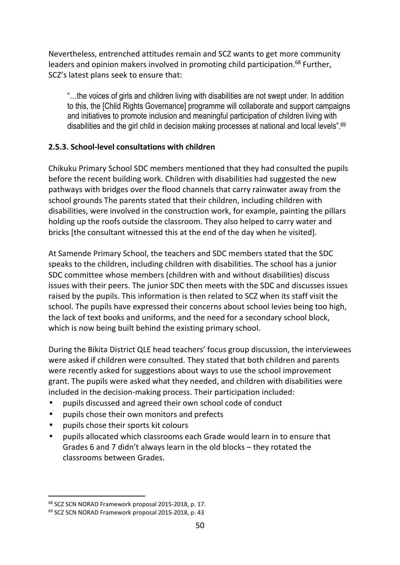Nevertheless, entrenched attitudes remain and SCZ wants to get more community leaders and opinion makers involved in promoting child participation.<sup>68</sup> Further, SCZ's latest plans seek to ensure that:

"…the voices of girls and children living with disabilities are not swept under. In addition to this, the [Child Rights Governance] programme will collaborate and support campaigns and initiatives to promote inclusion and meaningful participation of children living with disabilities and the girl child in decision making processes at national and local levels".<sup>69</sup>

#### **2.5.3. School-level consultations with children**

Chikuku Primary School SDC members mentioned that they had consulted the pupils before the recent building work. Children with disabilities had suggested the new pathways with bridges over the flood channels that carry rainwater away from the school grounds The parents stated that their children, including children with disabilities, were involved in the construction work, for example, painting the pillars holding up the roofs outside the classroom. They also helped to carry water and bricks [the consultant witnessed this at the end of the day when he visited].

At Samende Primary School, the teachers and SDC members stated that the SDC speaks to the children, including children with disabilities. The school has a junior SDC committee whose members (children with and without disabilities) discuss issues with their peers. The junior SDC then meets with the SDC and discusses issues raised by the pupils. This information is then related to SCZ when its staff visit the school. The pupils have expressed their concerns about school levies being too high, the lack of text books and uniforms, and the need for a secondary school block, which is now being built behind the existing primary school.

During the Bikita District QLE head teachers' focus group discussion, the interviewees were asked if children were consulted. They stated that both children and parents were recently asked for suggestions about ways to use the school improvement grant. The pupils were asked what they needed, and children with disabilities were included in the decision-making process. Their participation included:

- pupils discussed and agreed their own school code of conduct
- pupils chose their own monitors and prefects
- pupils chose their sports kit colours
- pupils allocated which classrooms each Grade would learn in to ensure that Grades 6 and 7 didn't always learn in the old blocks – they rotated the classrooms between Grades.

<sup>68</sup> SCZ SCN NORAD Framework proposal 2015-2018, p. 17.

<sup>69</sup> SCZ SCN NORAD Framework proposal 2015-2018, p. 43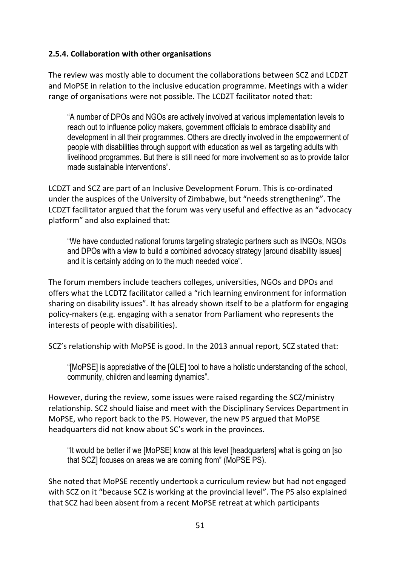#### **2.5.4. Collaboration with other organisations**

The review was mostly able to document the collaborations between SCZ and LCDZT and MoPSE in relation to the inclusive education programme. Meetings with a wider range of organisations were not possible. The LCDZT facilitator noted that:

"A number of DPOs and NGOs are actively involved at various implementation levels to reach out to influence policy makers, government officials to embrace disability and development in all their programmes. Others are directly involved in the empowerment of people with disabilities through support with education as well as targeting adults with livelihood programmes. But there is still need for more involvement so as to provide tailor made sustainable interventions".

LCDZT and SCZ are part of an Inclusive Development Forum. This is co-ordinated under the auspices of the University of Zimbabwe, but "needs strengthening". The LCDZT facilitator argued that the forum was very useful and effective as an "advocacy platform" and also explained that:

"We have conducted national forums targeting strategic partners such as INGOs, NGOs and DPOs with a view to build a combined advocacy strategy [around disability issues] and it is certainly adding on to the much needed voice".

The forum members include teachers colleges, universities, NGOs and DPOs and offers what the LCDTZ facilitator called a "rich learning environment for information sharing on disability issues". It has already shown itself to be a platform for engaging policy-makers (e.g. engaging with a senator from Parliament who represents the interests of people with disabilities).

SCZ's relationship with MoPSE is good. In the 2013 annual report, SCZ stated that:

"[MoPSE] is appreciative of the [QLE] tool to have a holistic understanding of the school, community, children and learning dynamics".

However, during the review, some issues were raised regarding the SCZ/ministry relationship. SCZ should liaise and meet with the Disciplinary Services Department in MoPSE, who report back to the PS. However, the new PS argued that MoPSE headquarters did not know about SC's work in the provinces.

"It would be better if we [MoPSE] know at this level [headquarters] what is going on [so that SCZ] focuses on areas we are coming from" (MoPSE PS).

She noted that MoPSE recently undertook a curriculum review but had not engaged with SCZ on it "because SCZ is working at the provincial level". The PS also explained that SCZ had been absent from a recent MoPSE retreat at which participants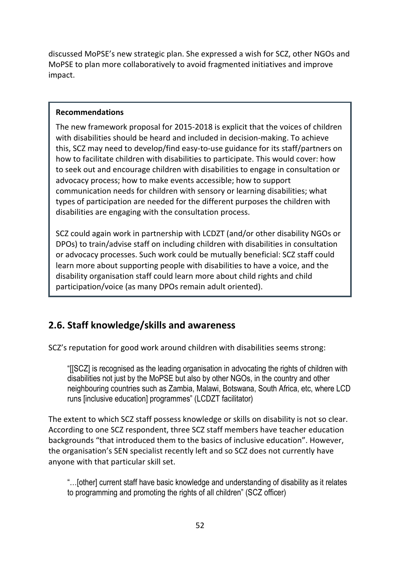discussed MoPSE's new strategic plan. She expressed a wish for SCZ, other NGOs and MoPSE to plan more collaboratively to avoid fragmented initiatives and improve impact.

#### **Recommendations**

The new framework proposal for 2015-2018 is explicit that the voices of children with disabilities should be heard and included in decision-making. To achieve this, SCZ may need to develop/find easy-to-use guidance for its staff/partners on how to facilitate children with disabilities to participate. This would cover: how to seek out and encourage children with disabilities to engage in consultation or advocacy process; how to make events accessible; how to support communication needs for children with sensory or learning disabilities; what types of participation are needed for the different purposes the children with disabilities are engaging with the consultation process.

SCZ could again work in partnership with LCDZT (and/or other disability NGOs or DPOs) to train/advise staff on including children with disabilities in consultation or advocacy processes. Such work could be mutually beneficial: SCZ staff could learn more about supporting people with disabilities to have a voice, and the disability organisation staff could learn more about child rights and child participation/voice (as many DPOs remain adult oriented).

## **2.6. Staff knowledge/skills and awareness**

SCZ's reputation for good work around children with disabilities seems strong:

"[[SCZ] is recognised as the leading organisation in advocating the rights of children with disabilities not just by the MoPSE but also by other NGOs, in the country and other neighbouring countries such as Zambia, Malawi, Botswana, South Africa, etc, where LCD runs [inclusive education] programmes" (LCDZT facilitator)

The extent to which SCZ staff possess knowledge or skills on disability is not so clear. According to one SCZ respondent, three SCZ staff members have teacher education backgrounds "that introduced them to the basics of inclusive education". However, the organisation's SEN specialist recently left and so SCZ does not currently have anyone with that particular skill set.

"…[other] current staff have basic knowledge and understanding of disability as it relates to programming and promoting the rights of all children" (SCZ officer)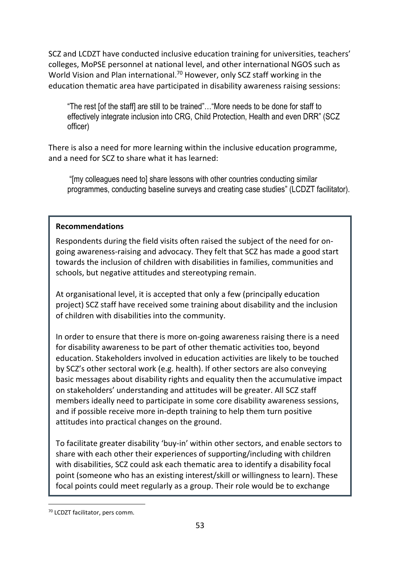SCZ and LCDZT have conducted inclusive education training for universities, teachers' colleges, MoPSE personnel at national level, and other international NGOS such as World Vision and Plan international.<sup>70</sup> However, only SCZ staff working in the education thematic area have participated in disability awareness raising sessions:

"The rest [of the staff] are still to be trained"…"More needs to be done for staff to effectively integrate inclusion into CRG, Child Protection, Health and even DRR" (SCZ officer)

There is also a need for more learning within the inclusive education programme, and a need for SCZ to share what it has learned:

 "[my colleagues need to] share lessons with other countries conducting similar programmes, conducting baseline surveys and creating case studies" (LCDZT facilitator).

#### **Recommendations**

Respondents during the field visits often raised the subject of the need for ongoing awareness-raising and advocacy. They felt that SCZ has made a good start towards the inclusion of children with disabilities in families, communities and schools, but negative attitudes and stereotyping remain.

At organisational level, it is accepted that only a few (principally education project) SCZ staff have received some training about disability and the inclusion of children with disabilities into the community.

In order to ensure that there is more on-going awareness raising there is a need for disability awareness to be part of other thematic activities too, beyond education. Stakeholders involved in education activities are likely to be touched by SCZ's other sectoral work (e.g. health). If other sectors are also conveying basic messages about disability rights and equality then the accumulative impact on stakeholders' understanding and attitudes will be greater. All SCZ staff members ideally need to participate in some core disability awareness sessions, and if possible receive more in-depth training to help them turn positive attitudes into practical changes on the ground.

To facilitate greater disability 'buy-in' within other sectors, and enable sectors to share with each other their experiences of supporting/including with children with disabilities, SCZ could ask each thematic area to identify a disability focal point (someone who has an existing interest/skill or willingness to learn). These focal points could meet regularly as a group. Their role would be to exchange

<sup>70</sup> LCDZT facilitator, pers comm.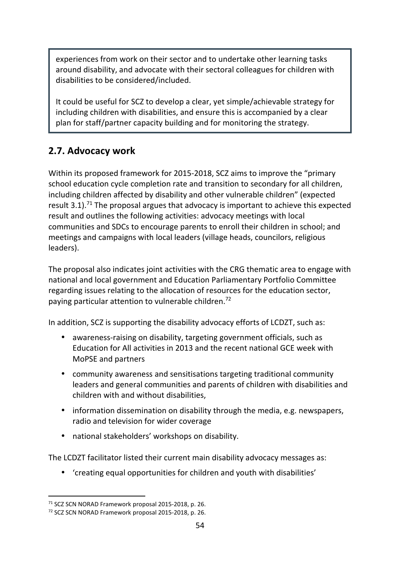experiences from work on their sector and to undertake other learning tasks around disability, and advocate with their sectoral colleagues for children with disabilities to be considered/included.

It could be useful for SCZ to develop a clear, yet simple/achievable strategy for including children with disabilities, and ensure this is accompanied by a clear plan for staff/partner capacity building and for monitoring the strategy.

### **2.7. Advocacy work**

Within its proposed framework for 2015-2018, SCZ aims to improve the "primary school education cycle completion rate and transition to secondary for all children, including children affected by disability and other vulnerable children" (expected result 3.1). $71$  The proposal argues that advocacy is important to achieve this expected result and outlines the following activities: advocacy meetings with local communities and SDCs to encourage parents to enroll their children in school; and meetings and campaigns with local leaders (village heads, councilors, religious leaders).

The proposal also indicates joint activities with the CRG thematic area to engage with national and local government and Education Parliamentary Portfolio Committee regarding issues relating to the allocation of resources for the education sector, paying particular attention to vulnerable children.<sup>72</sup>

In addition, SCZ is supporting the disability advocacy efforts of LCDZT, such as:

- awareness-raising on disability, targeting government officials, such as Education for All activities in 2013 and the recent national GCE week with MoPSE and partners
- community awareness and sensitisations targeting traditional community leaders and general communities and parents of children with disabilities and children with and without disabilities,
- information dissemination on disability through the media, e.g. newspapers, radio and television for wider coverage
- national stakeholders' workshops on disability.

The LCDZT facilitator listed their current main disability advocacy messages as:

• 'creating equal opportunities for children and youth with disabilities'

<sup>71</sup> SCZ SCN NORAD Framework proposal 2015-2018, p. 26.

<sup>72</sup> SCZ SCN NORAD Framework proposal 2015-2018, p. 26.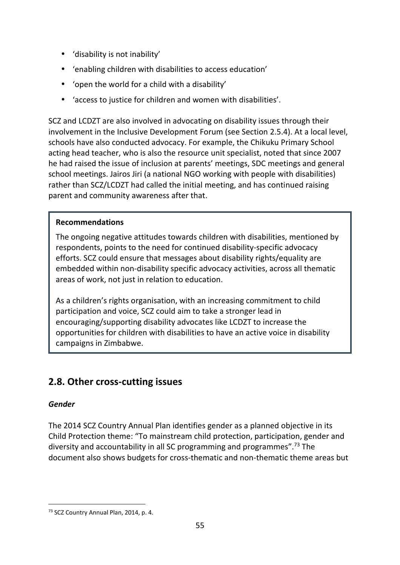- 'disability is not inability'
- 'enabling children with disabilities to access education'
- 'open the world for a child with a disability'
- 'access to justice for children and women with disabilities'.

SCZ and LCDZT are also involved in advocating on disability issues through their involvement in the Inclusive Development Forum (see Section 2.5.4). At a local level, schools have also conducted advocacy. For example, the Chikuku Primary School acting head teacher, who is also the resource unit specialist, noted that since 2007 he had raised the issue of inclusion at parents' meetings, SDC meetings and general school meetings. Jairos Jiri (a national NGO working with people with disabilities) rather than SCZ/LCDZT had called the initial meeting, and has continued raising parent and community awareness after that.

#### **Recommendations**

The ongoing negative attitudes towards children with disabilities, mentioned by respondents, points to the need for continued disability-specific advocacy efforts. SCZ could ensure that messages about disability rights/equality are embedded within non-disability specific advocacy activities, across all thematic areas of work, not just in relation to education.

As a children's rights organisation, with an increasing commitment to child participation and voice, SCZ could aim to take a stronger lead in encouraging/supporting disability advocates like LCDZT to increase the opportunities for children with disabilities to have an active voice in disability campaigns in Zimbabwe.

### **2.8. Other cross-cutting issues**

#### *Gender*

The 2014 SCZ Country Annual Plan identifies gender as a planned objective in its Child Protection theme: "To mainstream child protection, participation, gender and diversity and accountability in all SC programming and programmes".<sup>73</sup> The document also shows budgets for cross-thematic and non-thematic theme areas but

j 73 SCZ Country Annual Plan, 2014, p. 4.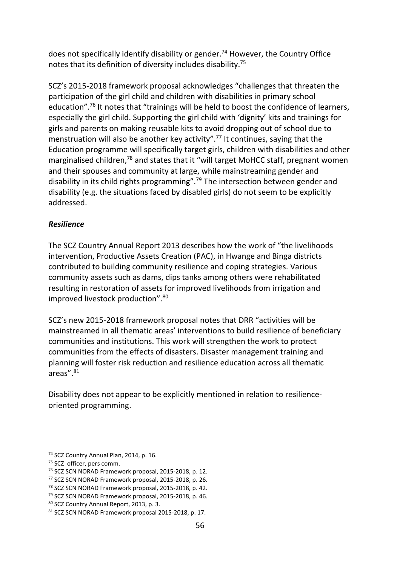does not specifically identify disability or gender.<sup>74</sup> However, the Country Office notes that its definition of diversity includes disability.<sup>75</sup>

SCZ's 2015-2018 framework proposal acknowledges "challenges that threaten the participation of the girl child and children with disabilities in primary school education".<sup>76</sup> It notes that "trainings will be held to boost the confidence of learners, especially the girl child. Supporting the girl child with 'dignity' kits and trainings for girls and parents on making reusable kits to avoid dropping out of school due to menstruation will also be another key activity".<sup>77</sup> It continues, saying that the Education programme will specifically target girls, children with disabilities and other marginalised children,<sup>78</sup> and states that it "will target MoHCC staff, pregnant women and their spouses and community at large, while mainstreaming gender and disability in its child rights programming".<sup>79</sup> The intersection between gender and disability (e.g. the situations faced by disabled girls) do not seem to be explicitly addressed.

#### *Resilience*

The SCZ Country Annual Report 2013 describes how the work of "the livelihoods intervention, Productive Assets Creation (PAC), in Hwange and Binga districts contributed to building community resilience and coping strategies. Various community assets such as dams, dips tanks among others were rehabilitated resulting in restoration of assets for improved livelihoods from irrigation and improved livestock production". 80

SCZ's new 2015-2018 framework proposal notes that DRR "activities will be mainstreamed in all thematic areas' interventions to build resilience of beneficiary communities and institutions. This work will strengthen the work to protect communities from the effects of disasters. Disaster management training and planning will foster risk reduction and resilience education across all thematic areas".<sup>81</sup>

Disability does not appear to be explicitly mentioned in relation to resilienceoriented programming.

<sup>74</sup> SCZ Country Annual Plan, 2014, p. 16.

<sup>&</sup>lt;sup>75</sup> SCZ officer, pers comm.

<sup>76</sup> SCZ SCN NORAD Framework proposal, 2015-2018, p. 12.

<sup>77</sup> SCZ SCN NORAD Framework proposal, 2015-2018, p. 26.

<sup>78</sup> SCZ SCN NORAD Framework proposal, 2015-2018, p. 42.

<sup>79</sup> SCZ SCN NORAD Framework proposal, 2015-2018, p. 46.

<sup>80</sup> SCZ Country Annual Report, 2013, p. 3.

<sup>81</sup> SCZ SCN NORAD Framework proposal 2015-2018, p. 17.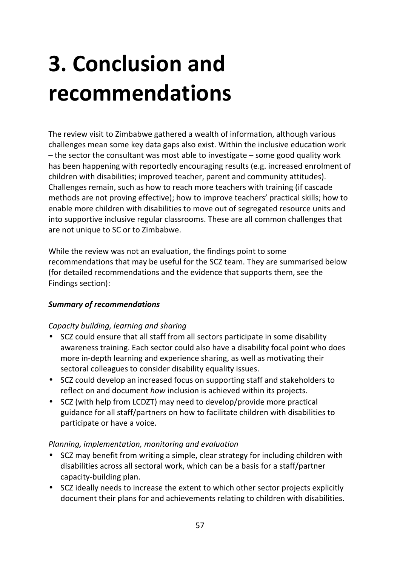## **3. Conclusion and recommendations**

The review visit to Zimbabwe gathered a wealth of information, although various challenges mean some key data gaps also exist. Within the inclusive education work – the sector the consultant was most able to investigate – some good quality work has been happening with reportedly encouraging results (e.g. increased enrolment of children with disabilities; improved teacher, parent and community attitudes). Challenges remain, such as how to reach more teachers with training (if cascade methods are not proving effective); how to improve teachers' practical skills; how to enable more children with disabilities to move out of segregated resource units and into supportive inclusive regular classrooms. These are all common challenges that are not unique to SC or to Zimbabwe.

While the review was not an evaluation, the findings point to some recommendations that may be useful for the SCZ team. They are summarised below (for detailed recommendations and the evidence that supports them, see the Findings section):

#### *Summary of recommendations*

#### *Capacity building, learning and sharing*

- SCZ could ensure that all staff from all sectors participate in some disability awareness training. Each sector could also have a disability focal point who does more in-depth learning and experience sharing, as well as motivating their sectoral colleagues to consider disability equality issues.
- SCZ could develop an increased focus on supporting staff and stakeholders to reflect on and document *how* inclusion is achieved within its projects.
- SCZ (with help from LCDZT) may need to develop/provide more practical guidance for all staff/partners on how to facilitate children with disabilities to participate or have a voice.

#### *Planning, implementation, monitoring and evaluation*

- SCZ may benefit from writing a simple, clear strategy for including children with disabilities across all sectoral work, which can be a basis for a staff/partner capacity-building plan.
- SCZ ideally needs to increase the extent to which other sector projects explicitly document their plans for and achievements relating to children with disabilities.